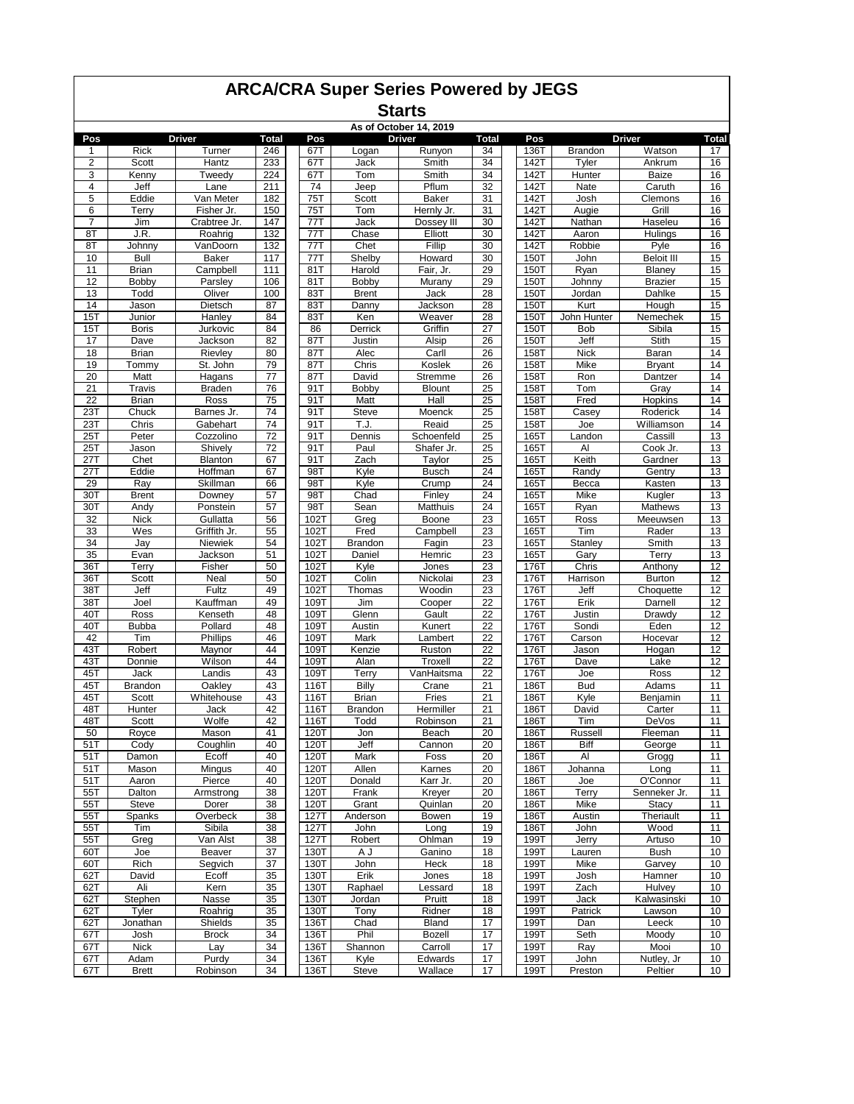|                         | <b>ARCA/CRA Super Series Powered by JEGS</b><br><b>Starts</b><br>As of October 14, 2019<br><b>Driver</b><br><b>Driver</b><br><b>Total</b><br>Pos<br><b>Driver</b><br><b>Total</b><br>Pos<br><b>Total</b> |                         |            |              |                      |                     |          |              |                        |                             |          |  |  |  |
|-------------------------|----------------------------------------------------------------------------------------------------------------------------------------------------------------------------------------------------------|-------------------------|------------|--------------|----------------------|---------------------|----------|--------------|------------------------|-----------------------------|----------|--|--|--|
|                         |                                                                                                                                                                                                          |                         |            |              |                      |                     |          |              |                        |                             |          |  |  |  |
|                         |                                                                                                                                                                                                          |                         |            |              |                      |                     |          |              |                        |                             |          |  |  |  |
| Pos<br>1                | <b>Rick</b>                                                                                                                                                                                              | Turner                  | 246        | 67T          | Logan                | Runyon              | 34       | 136T         | <b>Brandon</b>         | Watson                      | 17       |  |  |  |
| $\overline{\mathbf{c}}$ | Scott                                                                                                                                                                                                    | Hantz                   | 233        | 67T          | Jack                 | Smith               | 34       | 142T         | Tyler                  | Ankrum                      | 16       |  |  |  |
| 3                       | Kenny                                                                                                                                                                                                    | Tweedy                  | 224        | 67T          | Tom                  | Smith               | 34       | 142T         | Hunter                 | Baize                       | 16       |  |  |  |
| 4                       | Jeff                                                                                                                                                                                                     | Lane                    | 211        | 74           | Jeep                 | Pflum               | 32       | 142T         | Nate                   | Caruth                      | 16       |  |  |  |
| 5                       | Eddie                                                                                                                                                                                                    | Van Meter               | 182        | 75T          | Scott                | Baker               | 31       | 142T         | Josh                   | Clemons                     | 16       |  |  |  |
| 6                       | Terry                                                                                                                                                                                                    | Fisher Jr.              | 150        | 75T          | Tom                  | Hernly Jr.          | 31       | 142T         | Augie                  | Grill                       | 16       |  |  |  |
| $\overline{7}$          | Jim                                                                                                                                                                                                      | Crabtree Jr.            | 147        | 77T          | Jack                 | Dossey III          | 30       | 142T         | Nathan                 | Haseleu                     | 16       |  |  |  |
| 8T                      | J.R.                                                                                                                                                                                                     | Roahrig                 | 132        | 77T          | Chase                | Elliott             | 30       | 142T         | Aaron                  | Hulings                     | 16       |  |  |  |
| 8T                      | Johnny                                                                                                                                                                                                   | VanDoorn                | 132        | 77T          | Chet                 | Fillip              | 30       | 142T         | Robbie                 | Pyle                        | 16       |  |  |  |
| 10<br>11                | <b>Bull</b><br><b>Brian</b>                                                                                                                                                                              | Baker<br>Campbell       | 117<br>111 | 77T<br>81T   | Shelby<br>Harold     | Howard<br>Fair, Jr. | 30<br>29 | 150T<br>150T | John<br>Ryan           | <b>Beloit III</b><br>Blaney | 15<br>15 |  |  |  |
| 12                      | Bobby                                                                                                                                                                                                    | Parsley                 | 106        | 81T          | Bobby                | Murany              | 29       | 150T         | Johnny                 | <b>Brazier</b>              | 15       |  |  |  |
| 13                      | Todd                                                                                                                                                                                                     | Oliver                  | 100        | 83T          | <b>Brent</b>         | Jack                | 28       | <b>150T</b>  | Jordan                 | Dahlke                      | 15       |  |  |  |
| 14                      | Jason                                                                                                                                                                                                    | Dietsch                 | 87         | 83T          | Danny                | Jackson             | 28       | 150T         | Kurt                   | Hough                       | 15       |  |  |  |
| 15T                     | Junior                                                                                                                                                                                                   | Hanley                  | 84         | 83T          | Ken                  | Weaver              | 28       | 150T         | John Hunter            | Nemechek                    | 15       |  |  |  |
| 15T                     | <b>Boris</b>                                                                                                                                                                                             | Jurkovic                | 84         | 86           | Derrick              | Griffin             | 27       | 150T         | <b>Bob</b>             | Sibila                      | 15       |  |  |  |
| 17                      | Dave                                                                                                                                                                                                     | Jackson                 | 82         | 87T          | Justin               | Alsip               | 26       | 150T         | Jeff                   | Stith                       | 15       |  |  |  |
| 18                      | <b>Brian</b>                                                                                                                                                                                             | Rievley                 | 80         | 87T          | Alec                 | Carll               | 26       | 158T         | <b>Nick</b>            | Baran                       | 14       |  |  |  |
| 19                      | Tommv                                                                                                                                                                                                    | St. John                | 79         | 87T          | Chris                | Koslek              | 26       | 158T         | Mike                   | <b>Bryant</b>               | 14       |  |  |  |
| 20                      | Matt                                                                                                                                                                                                     | Hagans                  | 77         | 87T          | David                | Stremme             | 26       | 158T         | Ron                    | Dantzer                     | 14       |  |  |  |
| 21                      | Travis                                                                                                                                                                                                   | <b>Braden</b>           | 76         | 91T          | Bobby                | Blount              | 25       | 158T         | Tom                    | Gray                        | 14       |  |  |  |
| 22                      | <b>Brian</b><br>Chuck                                                                                                                                                                                    | Ross                    | 75<br>74   | 91T          | Matt<br><b>Steve</b> | Hall                | 25       | 158T         | Fred                   | Hopkins<br>Roderick         | 14<br>14 |  |  |  |
| 23T<br>23T              | Chris                                                                                                                                                                                                    | Barnes Jr.<br>Gabehart  | 74         | 91T<br>91T   | T.J.                 | Moenck<br>Reaid     | 25<br>25 | 158T<br>158T | Casey<br>Joe           | Williamson                  | 14       |  |  |  |
| 25T                     | Peter                                                                                                                                                                                                    | Cozzolino               | 72         | 91T          | Dennis               | Schoenfeld          | 25       | 165T         | Landon                 | Cassill                     | 13       |  |  |  |
| 25T                     | Jason                                                                                                                                                                                                    | Shively                 | 72         | 91T          | Paul                 | Shafer Jr.          | 25       | 165T         | Al                     | Cook Jr.                    | 13       |  |  |  |
| 27T                     | Chet                                                                                                                                                                                                     | Blanton                 | 67         | 91T          | Zach                 | Taylor              | 25       | 165T         | Keith                  | Gardner                     | 13       |  |  |  |
| 27T                     | Eddie                                                                                                                                                                                                    | Hoffman                 | 67         | 98T          | Kyle                 | <b>Busch</b>        | 24       | 165T         | Randy                  | Gentry                      | 13       |  |  |  |
| 29                      | Ray                                                                                                                                                                                                      | Skillman                | 66         | 98T          | Kyle                 | Crump               | 24       | 165T         | Becca                  | Kasten                      | 13       |  |  |  |
| 30T                     | <b>Brent</b>                                                                                                                                                                                             | Downey                  | 57         | 98T          | Chad                 | Finley              | 24       | 165T         | Mike                   | Kugler                      | 13       |  |  |  |
| 30T                     | Andy                                                                                                                                                                                                     | Ponstein                | 57         | 98T          | Sean                 | Matthuis            | 24       | 165T         | Ryan                   | Mathews                     | 13       |  |  |  |
| 32                      | <b>Nick</b>                                                                                                                                                                                              | Gullatta                | 56         | 102T         | Greg                 | Boone               | 23       | 165T         | Ross                   | Meeuwsen                    | 13       |  |  |  |
| 33                      | Wes                                                                                                                                                                                                      | Griffith Jr.            | 55         | 102T         | Fred                 | Campbell            | 23       | 165T         | Tim                    | Rader                       | 13       |  |  |  |
| 34                      | Jay                                                                                                                                                                                                      | Niewiek                 | 54         | 102T         | Brandon              | Fagin               | 23       | 165T         | Stanley                | Smith                       | 13       |  |  |  |
| 35                      | Evan                                                                                                                                                                                                     | Jackson                 | 51         | 102T         | Daniel               | Hemric              | 23       | 165T         | Gary                   | Terry                       | 13       |  |  |  |
| 36T<br>36T              | Terry<br>Scott                                                                                                                                                                                           | Fisher<br>Neal          | 50<br>50   | 102T<br>102T | Kyle<br>Colin        | Jones<br>Nickolai   | 23<br>23 | 176T<br>176T | Chris<br>Harrison      | Anthony<br><b>Burton</b>    | 12<br>12 |  |  |  |
| 38T                     | Jeff                                                                                                                                                                                                     | Fultz                   | 49         | 102T         | Thomas               | Woodin              | 23       | 176T         | Jeff                   | Choquette                   | 12       |  |  |  |
| 38T                     | Joel                                                                                                                                                                                                     | Kauffman                | 49         | 109T         | Jim                  | Cooper              | 22       | 176T         | Erik                   | Darnell                     | 12       |  |  |  |
| 40T                     | Ross                                                                                                                                                                                                     | Kenseth                 | 48         | 109T         | Glenn                | Gault               | 22       | 176T         | Justin                 | Drawdv                      | 12       |  |  |  |
| 40T                     | Bubba                                                                                                                                                                                                    | Pollard                 | 48         | 109T         | Austin               | Kunert              | 22       | 176T         | Sondi                  | Eden                        | 12       |  |  |  |
| 42                      | Tim                                                                                                                                                                                                      | Phillips                | 46         | 109T         | Mark                 | Lambert             | 22       | 176T         | Carson                 | Hocevar                     | 12       |  |  |  |
| 43T                     | Robert                                                                                                                                                                                                   | Maynor                  | 44         | 109T         | Kenzie               | Ruston              | 22       | 176T         | Jason                  | Hogan                       | 12       |  |  |  |
| 43T                     | Donnie                                                                                                                                                                                                   | Wilson                  | 44         | 109T         | Alan                 | Troxell             | 22       | 176T         | Dave                   | Lake                        | 12       |  |  |  |
| 45T                     | Jack                                                                                                                                                                                                     | Landis                  | 43         | 109T         | Terry                | VanHaitsma          | 22       | 176T         | Joe                    | Ross                        | 12       |  |  |  |
| 45T                     | Brandon                                                                                                                                                                                                  | Oakley                  | 43         | 116T         | Billy                | Crane               | 21       | 186T         | <b>Bud</b>             | Adams                       | 11       |  |  |  |
| 45T                     | Scott                                                                                                                                                                                                    | Whitehouse              | 43         | 116T         | Brian                | Fries               | 21       | 186T         | Kvle                   | Benjamin                    | 11       |  |  |  |
| 48T                     | Hunter                                                                                                                                                                                                   | Jack                    | 42         | 116T         | <b>Brandon</b>       | Hermiller           | 21       | 186T         | David                  | Carter                      | 11       |  |  |  |
| 48T                     | Scott                                                                                                                                                                                                    | Wolfe                   | 42         | 116T         | Todd                 | Robinson            | 21       | 186T         | Tim                    | DeVos                       | 11       |  |  |  |
| 50<br>51T               | Royce<br>Cody                                                                                                                                                                                            | Mason<br>Coughlin       | 41<br>40   | 120T<br>120T | Jon<br>Jeff          | Beach<br>Cannon     | 20<br>20 | 186T<br>186T | Russell<br><b>Biff</b> | Fleeman<br>George           | 11<br>11 |  |  |  |
| 51T                     | Damon                                                                                                                                                                                                    | Ecoff                   | 40         | 120T         | Mark                 | Foss                | 20       | 186T         | Al                     | Grogg                       | 11       |  |  |  |
| 51T                     | Mason                                                                                                                                                                                                    | Mingus                  | 40         | 120T         | Allen                | Karnes              | 20       | 186T         | Johanna                | Long                        | 11       |  |  |  |
| 51T                     | Aaron                                                                                                                                                                                                    | Pierce                  | 40         | 120T         | Donald               | Karr Jr.            | 20       | 186T         | Joe                    | O'Connor                    | 11       |  |  |  |
| 55T                     | Dalton                                                                                                                                                                                                   | Armstrong               | 38         | 120T         | Frank                | Kreyer              | 20       | 186T         | Terry                  | Senneker Jr.                | 11       |  |  |  |
| 55T                     | <b>Steve</b>                                                                                                                                                                                             | Dorer                   | 38         | 120T         | Grant                | Quinlan             | 20       | 186T         | Mike                   | Stacy                       | 11       |  |  |  |
| 55T                     | Spanks                                                                                                                                                                                                   | Overbeck                | 38         | 127T         | Anderson             | Bowen               | 19       | 186T         | Austin                 | Theriault                   | 11       |  |  |  |
| 55T                     | Tim                                                                                                                                                                                                      | Sibila                  | 38         | 127T         | John                 | Long                | 19       | 186T         | John                   | Wood                        | 11       |  |  |  |
| 55T                     | Greg                                                                                                                                                                                                     | Van Alst                | 38         | 127T         | Robert               | Ohlman              | 19       | 199T         | Jerry                  | Artuso                      | 10       |  |  |  |
| 60T                     | Joe                                                                                                                                                                                                      | Beaver                  | 37         | 130T         | A J                  | Ganino              | 18       | 199T         | Lauren                 | <b>Bush</b>                 | 10       |  |  |  |
| 60T                     | Rich                                                                                                                                                                                                     | Segvich                 | 37         | 130T         | John                 | Heck                | 18       | 199T         | Mike                   | Garvey                      | 10       |  |  |  |
| 62T                     | David                                                                                                                                                                                                    | Ecoff                   | 35         | 130T         | Erik                 | Jones               | 18       | 199T         | Josh                   | Hamner                      | 10       |  |  |  |
| 62T                     | Ali                                                                                                                                                                                                      | Kern                    | 35         | 130T         | Raphael              | Lessard             | 18       | 199T         | Zach                   | Hulvey                      | 10       |  |  |  |
| 62T                     | Stephen                                                                                                                                                                                                  | Nasse                   | 35         | 130T         | Jordan               | Pruitt              | 18       | 199T         | Jack                   | Kalwasinski                 | 10       |  |  |  |
| 62T                     | Tyler                                                                                                                                                                                                    | Roahrig                 | 35         | 130T         | Tony                 | Ridner              | 18       | 199T<br>199T | Patrick                | Lawson                      | 10       |  |  |  |
| 62T<br>67T              | Jonathan<br>Josh                                                                                                                                                                                         | Shields<br><b>Brock</b> | 35<br>34   | 136T<br>136T | Chad<br>Phil         | Bland<br>Bozell     | 17<br>17 | 199T         | Dan<br>Seth            | Leeck<br>Moody              | 10<br>10 |  |  |  |
| 67T                     | <b>Nick</b>                                                                                                                                                                                              | Lay                     | 34         | 136T         | Shannon              | Carroll             | 17       | 199T         | Ray                    | Mooi                        | 10       |  |  |  |
| 67T                     | Adam                                                                                                                                                                                                     | Purdy                   | 34         | 136T         | Kyle                 | Edwards             | 17       | 199T         | John                   | Nutley, Jr                  | 10       |  |  |  |
| 67T                     | <b>Brett</b>                                                                                                                                                                                             | Robinson                | 34         | 136T         | Steve                | Wallace             | 17       | 199T         | Preston                | Peltier                     | 10       |  |  |  |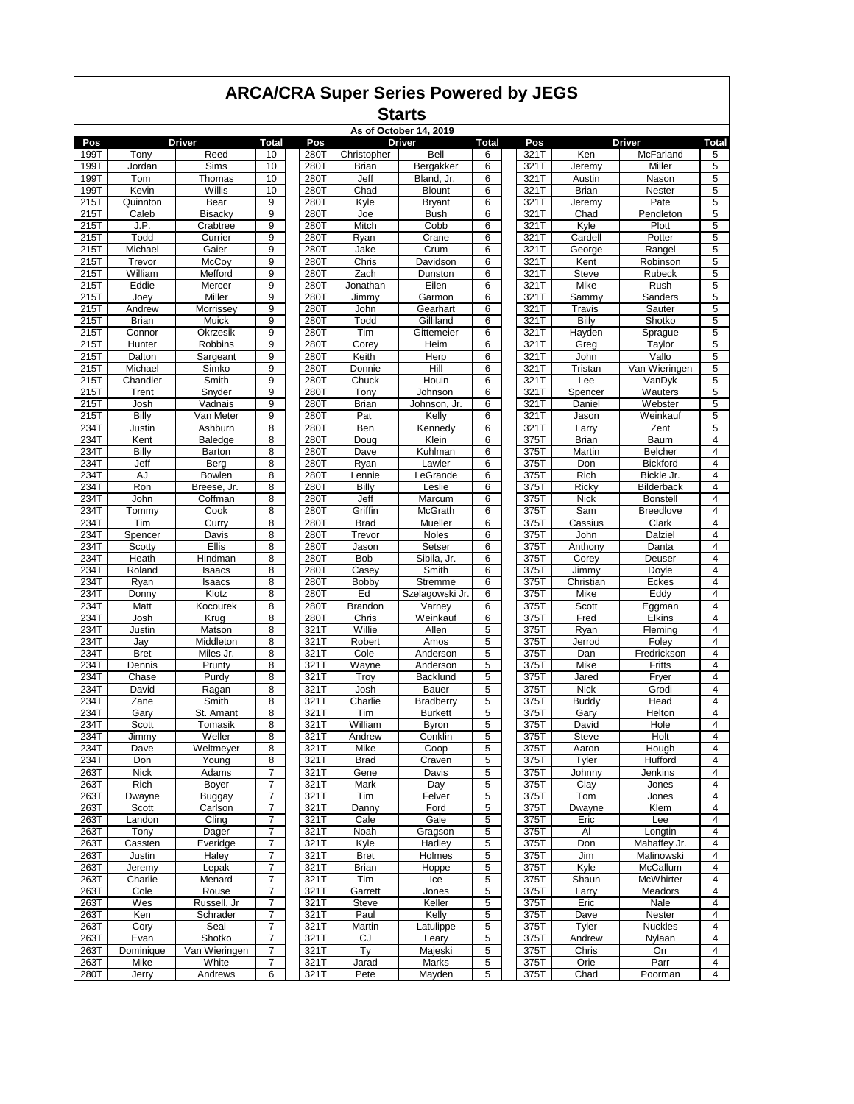|  | <b>ARCA/CRA Super Series Powered by JEGS</b> |
|--|----------------------------------------------|
|--|----------------------------------------------|

| As of October 14, 2019<br>Pos<br><b>Driver</b><br><b>Total</b><br><b>Driver</b><br><b>Total</b><br>Pos<br><b>Driver</b><br>Pos |                   |                   |                     |              |                      |                         |                |  |              |                   |                            |                         |
|--------------------------------------------------------------------------------------------------------------------------------|-------------------|-------------------|---------------------|--------------|----------------------|-------------------------|----------------|--|--------------|-------------------|----------------------------|-------------------------|
|                                                                                                                                |                   |                   |                     |              |                      |                         |                |  |              |                   |                            | <b>Total</b>            |
| 199T                                                                                                                           | Tony              | Reed              | 10                  | 280T         | Christopher          | Bell                    | 6              |  | 321T         | Ken               | McFarland                  | 5<br>5                  |
| 199T<br>199T                                                                                                                   | Jordan<br>Tom     | Sims<br>Thomas    | 10<br>10            | 280T<br>280T | <b>Brian</b><br>Jeff | Bergakker<br>Bland, Jr. | 6<br>6         |  | 321T<br>321T | Jeremy<br>Austin  | Miller<br>Nason            | 5                       |
| 199T                                                                                                                           | Kevin             | Willis            | 10                  | 280T         | Chad                 | <b>Blount</b>           | 6              |  | 321T         | <b>Brian</b>      | Nester                     | 5                       |
| 215T                                                                                                                           | Quinnton          | Bear              | 9                   | 280T         | Kyle                 | <b>Bryant</b>           | 6              |  | 321T         | Jeremy            | Pate                       | 5                       |
| 215T                                                                                                                           | Caleb             | <b>Bisackv</b>    | 9                   | 280T         | Joe                  | <b>Bush</b>             | 6              |  | 321T         | Chad              | Pendleton                  | 5                       |
| 215T                                                                                                                           | J.P.              | Crabtree          | 9                   | 280T         | Mitch                | Cobb                    | 6              |  | 321T         | Kyle              | Plott                      | $\overline{5}$          |
| 215T                                                                                                                           | Todd              | Currier           | 9                   | 280T         | Ryan                 | Crane                   | 6              |  | 321T         | Cardell           | Potter                     | 5                       |
| 215T                                                                                                                           | Michael           | Gaier             | 9                   | 280T         | Jake                 | Crum                    | 6              |  | 321T         | George            | Rangel                     | 5                       |
| 215T                                                                                                                           | Trevor            | McCoy             | 9                   | 280T         | Chris                | Davidson                | 6              |  | 321T         | Kent              | Robinson                   | 5                       |
| 215T                                                                                                                           | William           | Mefford           | 9                   | 280T         | Zach                 | Dunston                 | 6              |  | 321T         | <b>Steve</b>      | Rubeck                     | 5                       |
| 215T                                                                                                                           | Eddie             | Mercer            | 9                   | 280T         | Jonathan             | Eilen                   | 6              |  | 321T         | Mike              | Rush                       | 5                       |
| 215T                                                                                                                           | Joey              | Miller            | 9                   | 280T         | Jimmy                | Garmon                  | 6              |  | 321T         | Sammy             | Sanders                    | 5                       |
| 215T                                                                                                                           | Andrew            | Morrissey         | 9                   | 280T         | John                 | Gearhart                | 6              |  | 321T         | Travis            | Sauter                     | $\overline{5}$          |
| 215T                                                                                                                           | <b>Brian</b>      | Muick             | 9                   | 280T         | Todd                 | Gilliland               | 6              |  | 321T         | Billy             | Shotko                     | 5                       |
| 215T                                                                                                                           | Connor            | Okrzesik          | 9                   | 280T         | Tim                  | Gittemeier              | 6              |  | 321T         | Hayden            | Sprague                    | 5                       |
| 215T                                                                                                                           | Hunter            | Robbins           | 9                   | 280T         | Corey                | Heim                    | 6              |  | 321T         | Greg              | Taylor                     | 5                       |
| 215T                                                                                                                           | Dalton            | Sargeant          | 9                   | 280T         | Keith                | Herp                    | 6              |  | 321T         | John              | Vallo                      | 5                       |
| 215T                                                                                                                           | Michael           | Simko             | 9                   | 280T         | Donnie               | Hill                    | 6              |  | 321T         | Tristan           | Van Wieringen              | 5                       |
| 215T                                                                                                                           | Chandler          | Smith             | 9<br>9              | 280T         | Chuck                | Houin                   | 6<br>6         |  | 321T         | Lee               | VanDyk<br>Wauters          | 5<br>$\overline{5}$     |
| 215T<br>215T                                                                                                                   | Trent<br>Josh     | Snyder<br>Vadnais | 9                   | 280T<br>280T | Tony<br><b>Brian</b> | Johnson<br>Johnson, Jr. | 6              |  | 321T<br>321T | Spencer<br>Daniel | Webster                    | 5                       |
| 215T                                                                                                                           | <b>Billy</b>      | Van Meter         | 9                   | 280T         | Pat                  | Kelly                   | 6              |  | 321T         | Jason             | Weinkauf                   | 5                       |
| 234T                                                                                                                           | Justin            | Ashburn           | 8                   | 280T         | Ben                  | Kennedy                 | 6              |  | 321T         | Larry             | Zent                       | 5                       |
| 234T                                                                                                                           | Kent              | <b>Baledge</b>    | 8                   | 280T         | Doug                 | Klein                   | 6              |  | 375T         | <b>Brian</b>      | Baum                       | 4                       |
| 234T                                                                                                                           | <b>Billy</b>      | Barton            | 8                   | 280T         | Dave                 | Kuhlman                 | 6              |  | 375T         | Martin            | <b>Belcher</b>             | $\overline{4}$          |
| 234T                                                                                                                           | Jeff              | Berg              | 8                   | 280T         | Ryan                 | Lawler                  | 6              |  | 375T         | Don               | <b>Bickford</b>            | 4                       |
| 234T                                                                                                                           | AJ                | Bowlen            | 8                   | 280T         | Lennie               | LeGrande                | 6              |  | 375T         | Rich              | Bickle Jr.                 | 4                       |
| 234T                                                                                                                           | Ron               | Breese, Jr.       | 8                   | 280T         | Billy                | Leslie                  | 6              |  | 375T         | Ricky             | <b>Bilderback</b>          | 4                       |
| 234T                                                                                                                           | John              | Coffman           | 8                   | 280T         | Jeff                 | Marcum                  | 6              |  | 375T         | <b>Nick</b>       | <b>Bonstell</b>            | 4                       |
| 234T                                                                                                                           | Tommy             | Cook              | 8                   | 280T         | Griffin              | McGrath                 | 6              |  | 375T         | Sam               | <b>Breedlove</b>           | 4                       |
| 234T                                                                                                                           | Tim               | Curry             | 8                   | 280T         | <b>Brad</b>          | Mueller                 | 6              |  | 375T         | Cassius           | Clark                      | 4                       |
| 234T                                                                                                                           | Spencer           | Davis             | 8                   | 280T         | Trevor               | Noles                   | 6              |  | 375T         | John              | Dalziel                    | $\overline{4}$          |
| 234T                                                                                                                           | Scotty            | <b>Ellis</b>      | 8                   | 280T         | Jason                | Setser                  | 6              |  | 375T         | Anthony           | Danta                      | 4                       |
| 234T                                                                                                                           | Heath             | Hindman           | 8                   | 280T         | Bob                  | Sibila, Jr.             | 6              |  | 375T         | Corey             | Deuser                     | $\overline{4}$          |
| 234T                                                                                                                           | Roland            | Isaacs            | 8                   | 280T         | Casey                | Smith                   | 6              |  | 375T         | Jimmy             | Doyle                      | 4                       |
| 234T                                                                                                                           | Ryan              | Isaacs            | 8                   | 280T         | Bobby                | Stremme                 | 6              |  | 375T         | Christian         | Eckes                      | 4                       |
| 234T                                                                                                                           | Donny             | Klotz             | 8                   | 280T         | Ed                   | Szelagowski Jr.         | 6              |  | 375T         | Mike              | Eddy                       | $\overline{4}$          |
| 234T                                                                                                                           | Matt              | Kocourek          | 8                   | 280T         | Brandon              | Varney                  | 6              |  | 375T         | Scott             | Eggman                     | 4<br>4                  |
| 234T<br>234T                                                                                                                   | Josh<br>Justin    | Krug<br>Matson    | 8<br>8              | 280T<br>321T | Chris<br>Willie      | Weinkauf<br>Allen       | 6<br>5         |  | 375T<br>375T | Fred              | Elkins<br>Fleming          | 4                       |
| 234T                                                                                                                           | Jay               | Middleton         | 8                   | 321T         | Robert               | Amos                    | 5              |  | 375T         | Ryan<br>Jerrod    | Foley                      | 4                       |
| 234T                                                                                                                           | <b>Bret</b>       | Miles Jr.         | 8                   | 321T         | Cole                 | Anderson                | 5              |  | 375T         | Dan               | Fredrickson                | 4                       |
| 234T                                                                                                                           | Dennis            | Prunty            | 8                   | 321T         | Wayne                | Anderson                | 5              |  | 375T         | Mike              | Fritts                     | 4                       |
| 234T                                                                                                                           | Chase             | Purdy             | 8                   | 321T         | Troy                 | Backlund                | 5              |  | 375T         | Jared             | Fryer                      | 4                       |
| 234T                                                                                                                           | David             | Ragan             | 8                   | 321T         | Josh                 | <b>Bauer</b>            | 5              |  | 375T         | <b>Nick</b>       | Grodi                      | 4                       |
| 234T                                                                                                                           | Zane              | Smith             | 8                   | 321T         | Charlie              | Bradberry               | 5              |  | 375T         | Buddy             | Head                       | 4                       |
| 234T                                                                                                                           | Gary              | St. Amant         | 8                   | 321T         | Tim                  | <b>Burkett</b>          | 5              |  | 375T         | Gary              | Helton                     | 4                       |
| 234T                                                                                                                           | Scott             | Tomasik           | 8                   | 321T         | William              | Byron                   | 5              |  | 375T         | David             | Hole                       | 4                       |
| 234T                                                                                                                           | Jimmy             | Weller            | 8                   | 321T         | Andrew               | Conklin                 | 5              |  | 375T         | <b>Steve</b>      | Holt                       | 4                       |
| 234T                                                                                                                           | Dave              | Weltmeyer         | 8                   | 321T         | Mike                 | Coop                    | 5              |  | 375T         | Aaron             | Hough                      | $\overline{\mathbf{4}}$ |
| 234T                                                                                                                           | Don               | Young             | 8                   | 321T         | <b>Brad</b>          | Craven                  | 5              |  | 375T         | Tyler             | Hufford                    | 4                       |
| 263T                                                                                                                           | <b>Nick</b>       | Adams             | $\overline{7}$      | 321T         | Gene                 | Davis                   | 5              |  | 375T         | Johnny            | Jenkins                    | 4                       |
| 263T                                                                                                                           | Rich              | Boyer             | $\overline{7}$      | 321T         | Mark                 | Day                     | 5              |  | 375T         | Clay              | Jones                      | $\overline{4}$          |
| 263T                                                                                                                           | Dwayne            | <b>Buggay</b>     | 7                   | 321T         | Tim                  | Felver                  | 5              |  | 375T         | Tom               | Jones                      | 4                       |
| 263T                                                                                                                           | Scott             | Carlson           | $\overline{7}$      | 321T         | Danny                | Ford                    | 5              |  | 375T         | Dwayne            | Klem                       | 4                       |
| 263T                                                                                                                           | Landon            | Cling             | $\overline{7}$      | 321T         | Cale                 | Gale                    | $\overline{5}$ |  | 375T         | Eric              | Lee                        | $\overline{4}$          |
| 263T                                                                                                                           | Tony              | Dager             | $\overline{7}$<br>7 | 321T<br>321T | Noah<br>Kyle         | Gragson<br>Hadley       | 5<br>5         |  | 375T         | Al                | Longtin                    | 4<br>4                  |
| 263T                                                                                                                           | Cassten<br>Justin | Everidge<br>Haley | 7                   |              |                      | Holmes                  | 5              |  | 375T<br>375T | Don               | Mahaffey Jr.<br>Malinowski | 4                       |
| 263T<br>263T                                                                                                                   | Jeremy            | Lepak             | 7                   | 321T<br>321T | <b>Bret</b><br>Brian | Hoppe                   | 5              |  | 375T         | Jim<br>Kyle       | McCallum                   | 4                       |
| 263T                                                                                                                           | Charlie           | Menard            | 7                   | 321T         | Tim                  | Ice                     | 5              |  | 375T         | Shaun             | McWhirter                  | 4                       |
| 263T                                                                                                                           | Cole              | Rouse             | $\overline{7}$      | 321T         | Garrett              | Jones                   | 5              |  | 375T         | Larry             | Meadors                    | 4                       |
| 263T                                                                                                                           | Wes               | Russell, Jr       | $\overline{7}$      | 321T         | <b>Steve</b>         | Keller                  | $\overline{5}$ |  | 375T         | Eric              | Nale                       | 4                       |
| 263T                                                                                                                           | Ken               | Schrader          | $\overline{7}$      | 321T         | Paul                 | Kelly                   | 5              |  | 375T         | Dave              | Nester                     | 4                       |
| 263T                                                                                                                           | Cory              | Seal              | 7                   | 321T         | Martin               | Latulippe               | 5              |  | 375T         | Tyler             | <b>Nuckles</b>             | 4                       |
| 263T                                                                                                                           | Evan              | Shotko            | 7                   | 321T         | CJ                   | Leary                   | 5              |  | 375T         | Andrew            | Nylaan                     | 4                       |
| 263T                                                                                                                           | Dominique         | Van Wieringen     | 7                   | 321T         | Ty                   | Majeski                 | 5              |  | 375T         | Chris             | Orr                        | 4                       |
| 263T                                                                                                                           | Mike              | White             | 7                   | 321T         | Jarad                | Marks                   | 5              |  | 375T         | Orie              | Parr                       | 4                       |
| 280T                                                                                                                           | Jerry             | Andrews           | 6                   | 321T         | Pete                 | Mayden                  | 5              |  | 375T         | Chad              | Poorman                    | 4                       |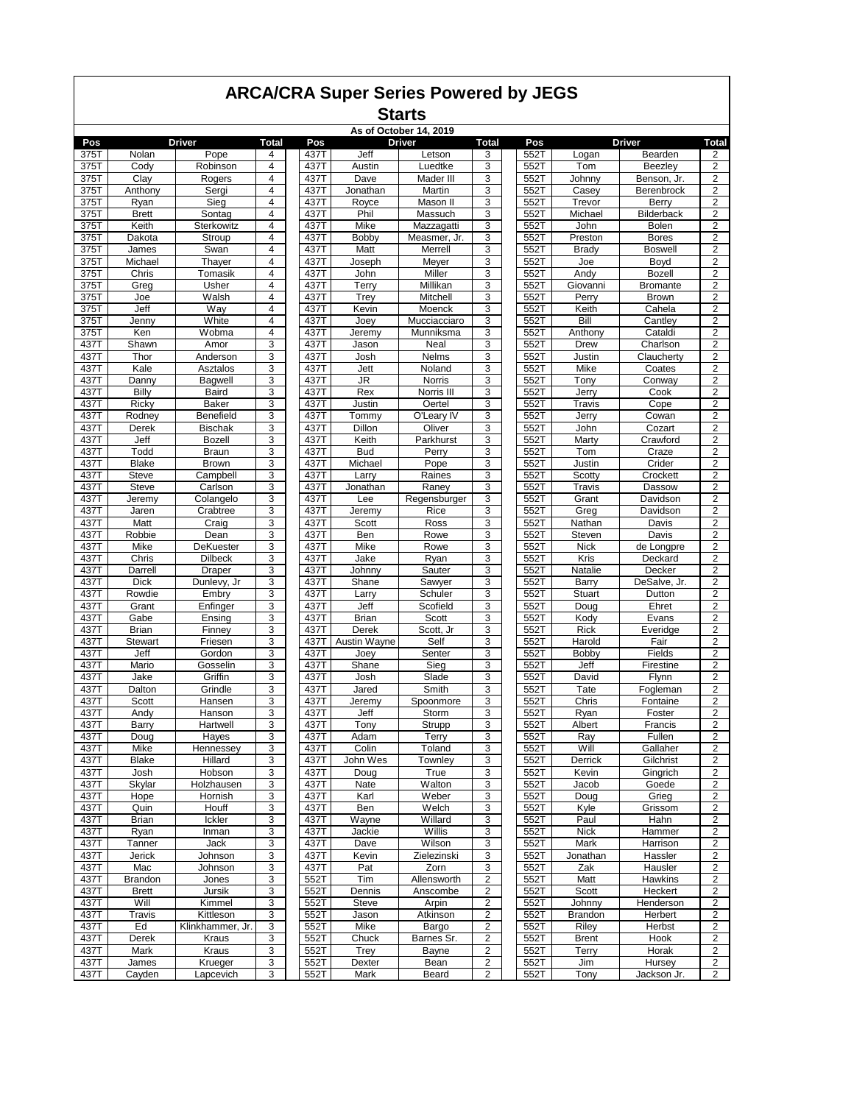|              |                       |                       |                     |              |                | As of October 14, 2019 |                         |              |                 |                        |                              |
|--------------|-----------------------|-----------------------|---------------------|--------------|----------------|------------------------|-------------------------|--------------|-----------------|------------------------|------------------------------|
| Pos          |                       | Driver                | <b>Total</b>        | Pos          |                | <b>Driver</b>          | <b>Total</b>            | Pos          |                 | <b>Driver</b>          | <b>Total</b>                 |
| 375T         | Nolan                 | Pope                  | 4                   | 437T<br>437T | Jeff<br>Austin | Letson                 | 3<br>3                  | 552T         | Logan           | Bearden                | 2<br>$\overline{2}$          |
| 375T<br>375T | Cody                  | Robinson<br>Rogers    | 4<br>$\overline{4}$ | 437T         | Dave           | Luedtke<br>Mader III   | 3                       | 552T<br>552T | Tom             | Beezley<br>Benson, Jr. | 2                            |
| 375T         | Clay<br>Anthony       | Sergi                 | 4                   | 437T         | Jonathan       | Martin                 | 3                       | 552T         | Johnny<br>Casey | Berenbrock             | 2                            |
| 375T         | Ryan                  | Sieg                  | 4                   | 437T         | Royce          | Mason II               | 3                       | 552T         | Trevor          | Berry                  | 2                            |
| 375T         | <b>Brett</b>          | Sontag                | $\overline{4}$      | 437T         | Phil           | Massuch                | 3                       | 552T         | Michael         | <b>Bilderback</b>      | 2                            |
| 375T         | Keith                 | Sterkowitz            | 4                   | 437T         | Mike           | Mazzagatti             | 3                       | 552T         | John            | <b>Bolen</b>           | $\overline{c}$               |
| 375T         | Dakota                | Stroup                | 4                   | 437T         | <b>Bobby</b>   | Measmer, Jr.           | 3                       | 552T         | Preston         | <b>Bores</b>           | $\overline{2}$               |
| 375T         | James                 | Swan                  | $\overline{4}$      | 437T         | Matt           | Merrell                | 3                       | 552T         | Brady           | <b>Boswell</b>         | 2                            |
| 375T         | Michael               | Thayer                | 4                   | 437T         | Joseph         | Meyer                  | 3                       | 552T         | Joe             | Boyd                   | 2                            |
| 375T         | Chris                 | Tomasik               | 4                   | 437T         | John           | Miller                 | 3                       | 552T         | Andy            | <b>Bozell</b>          | 2                            |
| 375T         | Greg                  | Usher                 | 4                   | 437T         | Terry          | Millikan               | 3                       | 552T         | Giovanni        | <b>Bromante</b>        | 2                            |
| 375T         | Joe                   | Walsh                 | 4                   | 437T         | Trey           | Mitchell               | 3                       | 552T         | Perry           | Brown                  | $\mathbf 2$                  |
| 375T         | Jeff                  | Way                   | $\overline{4}$      | 437T         | Kevin          | Moenck                 | 3                       | 552T         | Keith           | Cahela                 | $\overline{\mathbf{c}}$      |
| 375T         | Jenny                 | White                 | $\overline{4}$      | 437T         | Joey           | Mucciacciaro           | 3                       | 552T         | Bill            | Cantlev                | 2                            |
| 375T         | Ken                   | Wobma                 | 4                   | 437T         | Jeremy         | Munniksma              | 3                       | 552T         | Anthony         | Cataldi                | 2                            |
| 437T         | Shawn                 | Amor                  | 3                   | 437T         | Jason          | Neal                   | 3                       | 552T         | Drew            | Charlson               | 2                            |
| 437T<br>437T | Thor<br>Kale          | Anderson              | 3<br>3              | 437T         | Josh           | Nelms                  | 3<br>3                  | 552T         | Justin          | Claucherty             | 2                            |
| 437T         | Danny                 | Asztalos<br>Bagwell   | 3                   | 437T<br>437T | Jett<br>JR     | Noland<br>Norris       | 3                       | 552T<br>552T | Mike<br>Tony    | Coates<br>Conway       | $\overline{\mathbf{c}}$<br>2 |
| 437T         | Billy                 | Baird                 | 3                   | 437T         | Rex            | Norris III             | 3                       | 552T         | Jerry           | Cook                   | $\overline{2}$               |
| 437T         | Ricky                 | <b>Baker</b>          | 3                   | 437T         | Justin         | Oertel                 | 3                       | 552T         | Travis          | Cope                   | 2                            |
| 437T         | Rodney                | Benefield             | 3                   | 437T         | Tommy          | O'Leary IV             | 3                       | 552T         | Jerry           | Cowan                  | 2                            |
| 437T         | Derek                 | <b>Bischak</b>        | 3                   | 437T         | Dillon         | Oliver                 | 3                       | 552T         | John            | Cozart                 | 2                            |
| 437T         | Jeff                  | <b>Bozell</b>         | 3                   | 437T         | Keith          | Parkhurst              | 3                       | 552T         | Marty           | Crawford               | 2                            |
| 437T         | Todd                  | Braun                 | 3                   | 437T         | <b>Bud</b>     | Perry                  | 3                       | 552T         | Tom             | Craze                  | $\overline{2}$               |
| 437T         | <b>Blake</b>          | <b>Brown</b>          | 3                   | 437T         | Michael        | Pope                   | 3                       | 552T         | Justin          | Crider                 | 2                            |
| 437T         | <b>Steve</b>          | Campbell              | 3                   | 437T         | Larry          | Raines                 | 3                       | 552T         | Scotty          | Crockett               | 2                            |
| 437T         | <b>Steve</b>          | Carlson               | 3                   | 437T         | Jonathan       | Raney                  | 3                       | 552T         | Travis          | Dassow                 | 2                            |
| 437T         | Jeremy                | Colangelo             | 3                   | 437T         | Lee            | Regensburger           | 3                       | 552T         | Grant           | Davidson               | 2                            |
| 437T         | Jaren                 | Crabtree              | 3                   | 437T         | Jeremy         | Rice                   | 3                       | 552T         | Greg            | Davidson               | 2                            |
| 437T         | Matt                  | Craig                 | 3                   | 437T         | Scott          | Ross                   | 3                       | 552T         | Nathan          | Davis                  | $\overline{2}$               |
| 437T         | Robbie                | Dean                  | 3                   | 437T         | Ben            | Rowe                   | 3                       | 552T         | Steven          | Davis                  | $\overline{2}$               |
| 437T         | Mike                  | DeKuester             | 3                   | 437T         | Mike           | Rowe                   | 3                       | 552T         | <b>Nick</b>     | de Longpre             | 2                            |
| 437T         | Chris                 | <b>Dilbeck</b>        | 3                   | 437T         | Jake           | Ryan                   | 3                       | 552T         | Kris            | Deckard                | 2                            |
| 437T         | Darrell               | Draper                | 3                   | 437T         | Johnny         | Sauter                 | 3                       | 552T         | Natalie         | Decker                 | 2                            |
| 437T<br>437T | <b>Dick</b><br>Rowdie | Dunlevy, Jr.<br>Embry | 3<br>3              | 437T<br>437T | Shane<br>Larry | Sawyer<br>Schuler      | 3<br>3                  | 552T<br>552T | Barry<br>Stuart | DeSalve, Jr.<br>Dutton | 2<br>$\boldsymbol{2}$        |
| 437T         | Grant                 | Enfinger              | 3                   | 437T         | Jeff           | Scofield               | 3                       | 552T         | Doug            | Ehret                  | 2                            |
| 437T         | Gabe                  | Ensing                | 3                   | 437T         | <b>Brian</b>   | Scott                  | 3                       | 552T         | Kody            | Evans                  | $\overline{2}$               |
| 437T         | Brian                 | Finney                | 3                   | 437T         | Derek          | Scott, Jr              | 3                       | 552T         | Rick            | Everidge               | 2                            |
| 437T         | <b>Stewart</b>        | Friesen               | 3                   | 437T         | Austin Wayne   | Self                   | 3                       | 552T         | Harold          | Fair                   | 2                            |
| 437T         | Jeff                  | Gordon                | 3                   | 437T         | Joey           | Senter                 | 3                       | 552T         | Bobby           | Fields                 | 2                            |
| 437T         | Mario                 | Gosselin              | 3                   | 437T         | Shane          | Sieg                   | 3                       | 552T         | Jeff            | Firestine              | 2                            |
| 437T         | Jake                  | Griffin               | 3                   | 437T         | Josh           | Slade                  | 3                       | 552T         | David           | Flynn                  | 2                            |
| 437T         | Dalton                | Grindle               | 3                   | 437T         | Jared          | Smith                  | 3                       | 552T         | Tate            | Fogleman               | 2                            |
| 437T         | Scott                 | Hansen                | 3                   | 437T         | Jeremy         | Spoonmore              | 3                       | 552T         | Chris           | Fontaine               | 2                            |
| 437T         | Andy                  | Hanson                | 3                   | 437T         | Jeff           | Storm                  | 3                       | 552T         | Ryan            | Foster                 | 2                            |
| 437T         | Barry                 | Hartwell              | 3                   | 437T         | Tony           | Strupp                 | 3                       | 5521         | Albert          | Francis                | 2                            |
| 437T         | Doug                  | Hayes                 | 3                   | 437T         | Adam           | Terry                  | 3                       | 552T         | Ray             | Fullen                 | $\overline{2}$               |
| 437T         | Mike                  | Hennessey             | 3                   | 437T         | Colin          | Toland                 | 3                       | 552T         | Will            | Gallaher               | $\overline{2}$               |
| 437T         | Blake                 | Hillard               | 3                   | 437T         | John Wes       | Townley                | 3                       | 552T         | Derrick         | Gilchrist              | 2                            |
| 437T         | Josh                  | Hobson                | 3                   | 437T         | Doug           | True                   | 3                       | 552T         | Kevin           | Gingrich               | 2                            |
| 437T         | Skylar                | Holzhausen            | 3                   | 437T         | Nate           | Walton                 | 3                       | 552T         | Jacob           | Goede                  | $\overline{2}$               |
| 437T<br>437T | Hope<br>Quin          | Hornish<br>Houff      | 3<br>3              | 437T<br>437T | Karl<br>Ben    | Weber<br>Welch         | 3<br>3                  | 552T<br>552T | Doug<br>Kyle    | Grieg<br>Grissom       | 2<br>2                       |
| 437T         | Brian                 | Ickler                | 3                   | 437T         | Wayne          | Willard                | 3                       | 552T         | Paul            | Hahn                   | $\overline{2}$               |
| 437T         | Ryan                  | Inman                 | 3                   | 437T         | Jackie         | Willis                 | 3                       | 552T         | <b>Nick</b>     | Hammer                 | $\overline{\mathbf{c}}$      |
| 437T         | Tanner                | Jack                  | 3                   | 437T         | Dave           | Wilson                 | 3                       | 552T         | Mark            | Harrison               | $\overline{2}$               |
| 437T         | Jerick                | Johnson               | 3                   | 437T         | Kevin          | Zielezinski            | 3                       | 552T         | Jonathan        | Hassler                | 2                            |
| 437T         | Mac                   | Johnson               | 3                   | 437T         | Pat            | Zorn                   | 3                       | 552T         | Zak             | Hausler                | $\overline{\mathbf{c}}$      |
| 437T         | Brandon               | Jones                 | 3                   | 552T         | Tim            | Allensworth            | $\overline{\mathbf{c}}$ | 552T         | Matt            | <b>Hawkins</b>         | 2                            |
| 437T         | <b>Brett</b>          | Jursik                | 3                   | 552T         | Dennis         | Anscombe               | 2                       | 552T         | Scott           | Heckert                | $\overline{2}$               |
| 437T         | Will                  | Kimmel                | 3                   | 552T         | Steve          | Arpin                  | $\overline{2}$          | 552T         | Johnny          | Henderson              | 2                            |
| 437T         | Travis                | Kittleson             | 3                   | 552T         | Jason          | Atkinson               | $\overline{\mathbf{c}}$ | 552T         | Brandon         | Herbert                | 2                            |
| 437T         | Ed                    | Klinkhammer, Jr.      | 3                   | 552T         | Mike           | Bargo                  | $\overline{\mathbf{c}}$ | 552T         | Riley           | Herbst                 | 2                            |
| 437T         | Derek                 | Kraus                 | 3                   | 552T         | Chuck          | Barnes Sr.             | 2                       | 552T         | <b>Brent</b>    | Hook                   | 2                            |
| 437T         | Mark                  | Kraus                 | 3                   | 552T         | Trey           | <b>Bayne</b>           | 2                       | 552T         | Terry           | Horak                  | $\overline{2}$               |
| 437T         | James                 | Krueger               | 3                   | 552T         | Dexter         | Bean                   | 2                       | 552T         | Jim             | Hursey                 | 2                            |
| 437T         | Cayden                | Lapcevich             | 3                   | 552T         | Mark           | Beard                  | 2                       | 552T         | Tony            | Jackson Jr.            | $\overline{2}$               |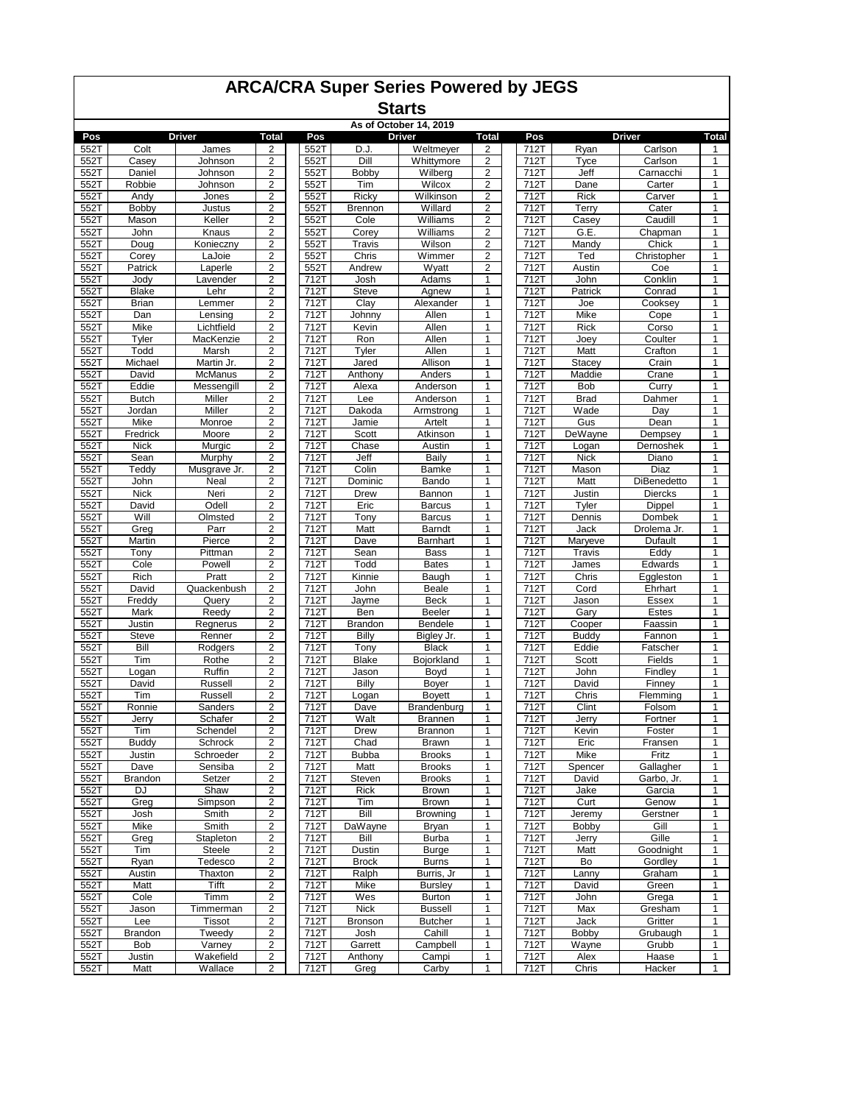|              | <b>ARCA/CRA Super Series Powered by JEGS</b><br><b>Starts</b><br>As of October 14, 2019<br><b>Driver</b><br><b>Driver</b> |                      |                                                    |              |                               |                                  |                                           |              |                    |                          |                              |  |  |
|--------------|---------------------------------------------------------------------------------------------------------------------------|----------------------|----------------------------------------------------|--------------|-------------------------------|----------------------------------|-------------------------------------------|--------------|--------------------|--------------------------|------------------------------|--|--|
|              |                                                                                                                           |                      |                                                    |              |                               |                                  |                                           |              |                    |                          |                              |  |  |
|              |                                                                                                                           |                      |                                                    |              |                               |                                  |                                           |              |                    |                          |                              |  |  |
| Pos<br>552T  | Colt                                                                                                                      | James                | Total<br>2                                         | Pos<br>552T  | D.J.                          | Weltmeyer                        | <b>Total</b><br>2                         | Pos<br>712T  | Ryan               | <b>Driver</b><br>Carlson | Total<br>1                   |  |  |
| 552T         | Casey                                                                                                                     | Johnson              | 2                                                  | 552T         | Dill                          | Whittymore                       | 2                                         | 712T         | Tyce               | Carlson                  | 1                            |  |  |
| 552T         | Daniel                                                                                                                    | Johnson              | $\overline{\mathbf{c}}$                            | 552T         | Bobby                         | Wilberg                          | 2                                         | 712T         | Jeff               | Carnacchi                | $\mathbf{1}$                 |  |  |
| 552T         | Robbie                                                                                                                    | Johnson              | $\overline{2}$                                     | 552T         | Tim                           | Wilcox                           | 2                                         | 712T         | Dane               | Carter                   | $\mathbf{1}$                 |  |  |
| 552T         | Andy                                                                                                                      | Jones                | $\overline{\mathbf{c}}$                            | 552T         | Ricky                         | Wilkinson                        | $\overline{2}$                            | 712T         | <b>Rick</b>        | Carver                   | 1                            |  |  |
| 552T         | Bobby                                                                                                                     | Justus               | $\overline{2}$                                     | 552T         | Brennon                       | Willard                          | 2                                         | 712T         | Terry              | Cater                    | 1                            |  |  |
| 552T         | Mason                                                                                                                     | Keller               | $\overline{\mathbf{c}}$                            | 552T         | Cole                          | Williams                         | 2                                         | 712T         | Casey              | Caudill                  | $\mathbf{1}$                 |  |  |
| 552T         | John                                                                                                                      | Knaus                | 2                                                  | 552T         | Corey                         | Williams                         | $\overline{2}$                            | 712T         | G.E.               | Chapman                  | 1                            |  |  |
| 552T<br>552T | Doug<br>Corey                                                                                                             | Konieczny<br>LaJoie  | $\overline{c}$<br>$\overline{2}$                   | 552T<br>552T | Travis<br>Chris               | Wilson<br>Wimmer                 | $\overline{\mathbf{c}}$<br>$\overline{c}$ | 712T<br>712T | Mandy<br>Ted       | Chick                    | $\mathbf{1}$<br>$\mathbf{1}$ |  |  |
| 552T         | Patrick                                                                                                                   | Laperle              | $\overline{\mathbf{c}}$                            | 552T         | Andrew                        | Wyatt                            | 2                                         | 712T         | Austin             | Christopher<br>Coe       | 1                            |  |  |
| 552T         | Jody                                                                                                                      | Lavender             | $\overline{2}$                                     | 712T         | Josh                          | Adams                            | 1                                         | 712T         | John               | Conklin                  | 1                            |  |  |
| 552T         | <b>Blake</b>                                                                                                              | Lehr                 | 2                                                  | 712T         | <b>Steve</b>                  | Agnew                            | 1                                         | 712T         | Patrick            | Conrad                   | 1                            |  |  |
| 552T         | <b>Brian</b>                                                                                                              | Lemmer               | $\overline{2}$                                     | 712T         | Clay                          | Alexander                        | $\mathbf{1}$                              | 712T         | Joe                | Cooksey                  | 1                            |  |  |
| 552T         | Dan                                                                                                                       | Lensing              | 2                                                  | 712T         | Johnny                        | Allen                            | 1                                         | 712T         | Mike               | Cope                     | 1                            |  |  |
| 552T         | Mike                                                                                                                      | Lichtfield           | $\overline{\mathbf{c}}$                            | 712T         | Kevin                         | Allen                            | $\mathbf{1}$                              | 712T         | <b>Rick</b>        | Corso                    | $\mathbf{1}$                 |  |  |
| 552T         | Tyler                                                                                                                     | MacKenzie            | $\overline{c}$                                     | 712T         | Ron                           | Allen                            | $\mathbf{1}$                              | 712T         | Joey               | Coulter                  | $\mathbf{1}$                 |  |  |
| 552T         | Todd                                                                                                                      | Marsh                | $\overline{c}$                                     | 712T         | Tyler                         | Allen                            | 1                                         | 712T         | Matt               | Crafton                  | 1                            |  |  |
| 552T         | Michael                                                                                                                   | Martin Jr.           | $\overline{2}$                                     | 712T         | Jared                         | Allison                          | 1                                         | 712T         | <b>Stacev</b>      | Crain                    | 1                            |  |  |
| 552T         | David                                                                                                                     | McManus              | 2                                                  | 712T         | Anthony                       | Anders                           | 1                                         | 712T         | Maddie             | Crane                    | 1                            |  |  |
| 552T<br>552T | Eddie                                                                                                                     | Messengill<br>Miller | $\overline{c}$                                     | 712T<br>712T | Alexa                         | Anderson                         | $\mathbf{1}$<br>$\mathbf{1}$              | 712T<br>712T | Bob<br><b>Brad</b> | Curry                    | 1<br>$\mathbf{1}$            |  |  |
| 552T         | <b>Butch</b><br>Jordan                                                                                                    | Miller               | $\overline{\mathbf{c}}$<br>$\overline{\mathbf{c}}$ | 712T         | Lee<br>Dakoda                 | Anderson<br>Armstrong            | $\mathbf{1}$                              | 712T         | Wade               | Dahmer<br>Day            | 1                            |  |  |
| 552T         | Mike                                                                                                                      | Monroe               | $\overline{c}$                                     | 712T         | Jamie                         | Artelt                           | $\mathbf{1}$                              | 712T         | Gus                | Dean                     | $\mathbf{1}$                 |  |  |
| 552T         | Fredrick                                                                                                                  | Moore                | $\overline{\mathbf{c}}$                            | 712T         | Scott                         | Atkinson                         | 1                                         | 712T         | DeWayne            | Dempsey                  | 1                            |  |  |
| 552T         | <b>Nick</b>                                                                                                               | Murgic               | $\overline{2}$                                     | 712T         | Chase                         | Austin                           | 1                                         | 712T         | Logan              | Dernoshek                | $\mathbf{1}$                 |  |  |
| 552T         | Sean                                                                                                                      | Murphy               | 2                                                  | 712T         | Jeff                          | Baily                            | 1                                         | 712T         | <b>Nick</b>        | Diano                    | 1                            |  |  |
| 552T         | Teddy                                                                                                                     | Musgrave Jr.         | $\overline{\mathbf{c}}$                            | 712T         | Colin                         | Bamke                            | $\mathbf{1}$                              | 712T         | Mason              | Diaz                     | $\mathbf{1}$                 |  |  |
| 552T         | John                                                                                                                      | Neal                 | $\overline{2}$                                     | 712T         | Dominic                       | Bando                            | $\mathbf{1}$                              | 712T         | Matt               | <b>DiBenedetto</b>       | $\mathbf{1}$                 |  |  |
| 552T         | Nick                                                                                                                      | Neri                 | $\overline{\mathbf{c}}$                            | 712T         | Drew                          | Bannon                           | 1                                         | 712T         | Justin             | Diercks                  | 1                            |  |  |
| 552T         | David                                                                                                                     | Odell                | $\overline{2}$                                     | 712T         | Eric                          | <b>Barcus</b>                    | 1                                         | 712T         | Tyler              | Dippel                   | 1                            |  |  |
| 552T         | Will                                                                                                                      | Olmsted              | $\overline{\mathbf{c}}$                            | 712T         | Tony                          | <b>Barcus</b>                    | 1                                         | 712T         | Dennis             | Dombek                   | 1                            |  |  |
| 552T         | Greg                                                                                                                      | Parr                 | 2                                                  | 712T         | Matt                          | Barndt                           | $\mathbf{1}$                              | 712T         | Jack               | Drolema Jr.              | $\mathbf{1}$                 |  |  |
| 552T         | Martin                                                                                                                    | Pierce               | $\overline{\mathbf{c}}$                            | 712T         | Dave                          | Barnhart                         | 1                                         | 712T         | Maryeve            | Dufault                  | $\mathbf{1}$                 |  |  |
| 552T<br>552T | Tony<br>Cole                                                                                                              | Pittman<br>Powell    | $\overline{\mathbf{c}}$<br>$\overline{c}$          | 712T<br>712T | Sean<br>Todd                  | <b>Bass</b><br><b>Bates</b>      | $\mathbf{1}$<br>1                         | 712T<br>712T | Travis             | Eddy<br>Edwards          | 1<br>$\mathbf{1}$            |  |  |
| 552T         | Rich                                                                                                                      | Pratt                | $\overline{2}$                                     | 712T         | Kinnie                        | Baugh                            | 1                                         | 712T         | James<br>Chris     | Eggleston                | 1                            |  |  |
| 552T         | David                                                                                                                     | Quackenbush          | $\overline{\mathbf{c}}$                            | 712T         | John                          | Beale                            | $\mathbf{1}$                              | 712T         | Cord               | Ehrhart                  | $\mathbf{1}$                 |  |  |
| 552T         | Freddy                                                                                                                    | Query                | 2                                                  | 712T         | Jayme                         | <b>Beck</b>                      | 1                                         | 712T         | Jason              | Essex                    | 1                            |  |  |
| 552T         | Mark                                                                                                                      | Reedy                | 2                                                  | 712T         | Ben                           | <b>Beeler</b>                    | $\mathbf{1}$                              | 712T         | Gary               | Estes                    | 1                            |  |  |
| 552T         | Justin                                                                                                                    | Regnerus             | $\overline{\mathbf{c}}$                            | 712T         | <b>Brandon</b>                | Bendele                          | 1                                         | 712T         | Cooper             | Faassin                  | $\mathbf{1}$                 |  |  |
| 552T         | <b>Steve</b>                                                                                                              | Renner               | $\overline{\mathbf{c}}$                            | 712T         | Billy                         | Bigley Jr.                       | 1                                         | 712T         | <b>Buddy</b>       | Fannon                   | 1                            |  |  |
| 552T         | Bill                                                                                                                      | Rodgers              | $\overline{c}$                                     | 712T         | Tony                          | <b>Black</b>                     | $\mathbf{1}$                              | 712T         | Eddie              | Fatscher                 | 1                            |  |  |
| 552T         | Tim                                                                                                                       | Rothe                | $\overline{2}$                                     | 712T         | <b>Blake</b>                  | Bojorkland                       | 1                                         | 712T         | Scott              | Fields                   | 1                            |  |  |
| 552T         | Logan                                                                                                                     | Ruffin               | 2                                                  | 712T         | Jason                         | Boyd                             | 1                                         | 712T         | John               | Findley                  | 1                            |  |  |
| 552T         | David                                                                                                                     | Russell              | 2                                                  | 712T         | Billy                         | <b>Boyer</b>                     | 1                                         | 712T         | David              | Finney                   | 1                            |  |  |
| 552T         | Tim                                                                                                                       | Russell              | $\overline{2}$                                     | 712T         | Logan                         | <b>Boyett</b>                    | 1                                         | 712T         | Chris              | Flemming                 | 1                            |  |  |
| 552T         | Ronnie                                                                                                                    | Sanders              | 2                                                  | 712T         | Dave                          | Brandenburg                      | $\mathbf{1}$                              | 712T         | Clint              | Folsom                   | 1                            |  |  |
| 552T<br>552T | Jerry<br>Tim                                                                                                              | Schafer<br>Schendel  | $\overline{2}$<br>$\overline{2}$                   | 712T<br>712T | Walt<br>Drew                  | <b>Brannen</b><br>Brannon        | 1<br>1                                    | 712T<br>712T | Jerry<br>Kevin     | Fortner<br>Foster        | 1<br>$\mathbf{1}$            |  |  |
| 552T         | <b>Buddy</b>                                                                                                              | Schrock              | 2                                                  | 712T         | Chad                          | <b>Brawn</b>                     | 1                                         | 712T         | Eric               | Fransen                  | $\mathbf{1}$                 |  |  |
| 552T         | Justin                                                                                                                    | Schroeder            | 2                                                  | 712T         | <b>Bubba</b>                  | <b>Brooks</b>                    | 1                                         | 712T         | Mike               | Fritz                    | 1                            |  |  |
| 552T         | Dave                                                                                                                      | Sensiba              | 2                                                  | 712T         | Matt                          | <b>Brooks</b>                    | 1                                         | 712T         | Spencer            | Gallagher                | 1                            |  |  |
| 552T         | Brandon                                                                                                                   | Setzer               | $\overline{\mathbf{c}}$                            | 712T         | Steven                        | <b>Brooks</b>                    | $\mathbf{1}$                              | 712T         | David              | Garbo, Jr.               | $\mathbf{1}$                 |  |  |
| 552T         | <b>DJ</b>                                                                                                                 | Shaw                 | $\overline{2}$                                     | 712T         | <b>Rick</b>                   | <b>Brown</b>                     | 1                                         | 712T         | Jake               | Garcia                   | 1                            |  |  |
| 552T         | Greg                                                                                                                      | Simpson              | 2                                                  | 712T         | Tim                           | Brown                            | 1                                         | 712T         | Curt               | Genow                    | 1                            |  |  |
| 552T         | Josh                                                                                                                      | Smith                | $\overline{\mathbf{c}}$                            | 712T         | Bill                          | <b>Browning</b>                  | $\mathbf{1}$                              | 712T         | Jeremy             | Gerstner                 | $\mathbf{1}$                 |  |  |
| 552T         | Mike                                                                                                                      | Smith                | 2                                                  | 712T         | DaWayne                       | Bryan                            | 1                                         | 712T         | Bobby              | Gill                     | 1                            |  |  |
| 552T         | Greg                                                                                                                      | Stapleton            | $\overline{\mathbf{c}}$                            | 712T         | Bill                          | Burba                            | $\mathbf{1}$                              | 712T         | Jerry              | Gille                    | $\mathbf{1}$                 |  |  |
| 552T         | Tim                                                                                                                       | <b>Steele</b>        | $\overline{\mathbf{c}}$                            | 712T         | Dustin                        | <b>Burge</b>                     | $\mathbf{1}$                              | 712T         | Matt               | Goodnight                | $\mathbf{1}$                 |  |  |
| 552T         | Ryan                                                                                                                      | Tedesco              | $\overline{2}$                                     | 712T         | <b>Brock</b>                  | <b>Burns</b>                     | 1                                         | 712T         | Bo                 | Gordley                  | 1                            |  |  |
| 552T         | Austin                                                                                                                    | Thaxton              | $\overline{2}$                                     | 712T         | Ralph                         | Burris, Jr                       | $\mathbf{1}$                              | 712T         | Lanny              | Graham                   | $\mathbf{1}$                 |  |  |
| 552T         | Matt                                                                                                                      | Tifft                | 2                                                  | 712T         | Mike                          | <b>Bursley</b>                   | 1                                         | 712T         | David              | Green                    | 1                            |  |  |
| 552T         | Cole                                                                                                                      | Timm                 | $\overline{\mathbf{c}}$                            | 712T         | Wes                           | <b>Burton</b>                    | 1                                         | 712T         | John               | Grega                    | $\mathbf{1}$                 |  |  |
| 552T<br>552T | Jason<br>Lee                                                                                                              | Timmerman<br>Tissot  | $\overline{\mathbf{c}}$<br>$\overline{\mathbf{c}}$ | 712T<br>712T | <b>Nick</b><br><b>Bronson</b> | <b>Bussell</b><br><b>Butcher</b> | 1<br>1                                    | 712T<br>712T | Max<br>Jack        | Gresham<br>Gritter       | 1<br>$\mathbf{1}$            |  |  |
| 552T         | Brandon                                                                                                                   | Tweedy               | $\overline{\mathbf{c}}$                            | 712T         | Josh                          | Cahill                           | $\mathbf{1}$                              | 712T         | Bobby              | Grubaugh                 | 1                            |  |  |
| 552T         | <b>Bob</b>                                                                                                                | Varney               | $\overline{\mathbf{c}}$                            | 712T         | Garrett                       | Campbell                         | 1                                         | 712T         | Wayne              | Grubb                    | 1                            |  |  |
| 552T         | Justin                                                                                                                    | Wakefield            | $\overline{2}$                                     | 712T         | Anthony                       | Campi                            | 1                                         | 712T         | Alex               | Haase                    | $\mathbf{1}$                 |  |  |
| 552T         | Matt                                                                                                                      | Wallace              | $\overline{2}$                                     | 712T         | Greg                          | Carby                            | 1                                         | 712T         | Chris              | Hacker                   | 1                            |  |  |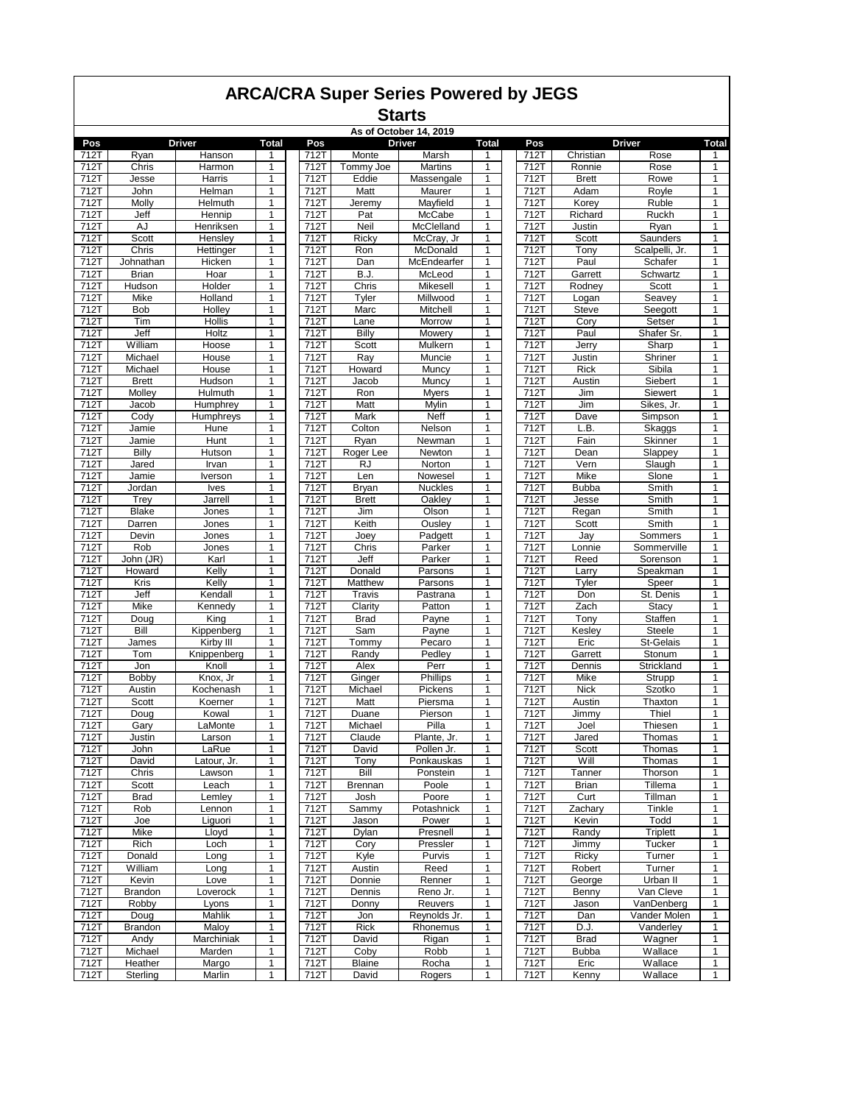|                   | <b>ARCA/CRA Super Series Powered by JEGS</b><br><b>Starts</b><br>As of October 14, 2019<br>Driver<br><b>Total</b><br>Pos<br><b>Driver</b><br><b>Total</b><br>Pos<br><b>Driver</b><br><b>Total</b><br>Pos |                  |              |              |                 |                  |              |              |              |                 |                   |  |  |
|-------------------|----------------------------------------------------------------------------------------------------------------------------------------------------------------------------------------------------------|------------------|--------------|--------------|-----------------|------------------|--------------|--------------|--------------|-----------------|-------------------|--|--|
|                   |                                                                                                                                                                                                          |                  |              |              |                 |                  |              |              |              |                 |                   |  |  |
|                   |                                                                                                                                                                                                          |                  |              |              |                 |                  |              |              |              |                 |                   |  |  |
| 712T              | Ryan                                                                                                                                                                                                     | Hanson           | 1            | 712T         | Monte           | Marsh            | 1            | 712T         | Christian    | Rose            | 1                 |  |  |
| 712T              | Chris                                                                                                                                                                                                    | Harmon           | 1            | 712T         | Tommy Joe       | <b>Martins</b>   | 1            | 712T         | Ronnie       | Rose            | 1                 |  |  |
| 712T              | Jesse                                                                                                                                                                                                    | Harris           | 1            | 712T         | Eddie           | Massengale       | 1            | 712T         | <b>Brett</b> | Rowe            | 1                 |  |  |
| 712T              | John                                                                                                                                                                                                     | Helman           | 1            | 712T         | Matt            | Maurer           | 1            | 712T         | Adam         | Royle           | $\mathbf{1}$      |  |  |
| 712T              | Molly                                                                                                                                                                                                    | Helmuth          | 1            | 712T         | Jeremy          | Mayfield         | 1            | 712T         | Korey        | Ruble           | 1                 |  |  |
| 712T              | Jeff                                                                                                                                                                                                     | Hennip           | 1            | 712T         | Pat             | McCabe           | 1            | 712T         | Richard      | Ruckh           | $\mathbf{1}$      |  |  |
| $712\overline{T}$ | AJ                                                                                                                                                                                                       | Henriksen        | 1            | 712T         | Neil            | McClelland       | 1            | 712T         | Justin       | Ryan            | 1                 |  |  |
| 712T              | Scott                                                                                                                                                                                                    | Hensley          | 1            | 712T         | Ricky           | McCray, Jr       | 1            | 712T         | Scott        | Saunders        | 1                 |  |  |
| 712T              | Chris                                                                                                                                                                                                    | Hettinger        | 1            | 712T         | Ron             | McDonald         | 1            | 712T         | Tony         | Scalpelli, Jr.  | $\mathbf{1}$      |  |  |
| 712T              | Johnathan                                                                                                                                                                                                | Hicken           | 1            | 712T         | Dan             | McEndearfer      | 1            | 712T         | Paul         | Schafer         | 1                 |  |  |
| 712T              | <b>Brian</b>                                                                                                                                                                                             | Hoar             | 1            | 712T         | B.J.            | McLeod           | 1            | 712T         | Garrett      | Schwartz        | 1                 |  |  |
| 712T              | Hudson                                                                                                                                                                                                   | Holder           | 1            | 712T         | Chris           | Mikesell         | 1            | 712T         | Rodney       | Scott           | 1                 |  |  |
| 712T              | Mike                                                                                                                                                                                                     | Holland          | 1            | 712T         | Tyler           | Millwood         | 1            | 712T         | Logan        | Seavey          | $\mathbf{1}$      |  |  |
| 712T              | Bob                                                                                                                                                                                                      | Holley           | 1            | 712T         | Marc            | Mitchell         | 1            | 712T         | <b>Steve</b> | Seegott         | 1                 |  |  |
| 712T              | Tim                                                                                                                                                                                                      | Hollis           | 1            | 712T         | Lane            | Morrow           | 1            | 712T         | Cory         | Setser          | $\mathbf{1}$      |  |  |
| 712T              | Jeff                                                                                                                                                                                                     | Holtz            | $\mathbf{1}$ | 712T         | Billy           | Mowery           | 1            | 712T         | Paul         | Shafer Sr.      | $\mathbf{1}$      |  |  |
| 712T              | William                                                                                                                                                                                                  | Hoose            | 1            | 712T         | Scott           | Mulkern          | 1            | 712T         | Jerry        | Sharp           | 1                 |  |  |
| 712T              | Michael                                                                                                                                                                                                  | House            | 1            | 712T         | Ray             | Muncie           | 1            | 712T         | Justin       | Shriner         | 1                 |  |  |
| 712T              | Michael                                                                                                                                                                                                  | House            | 1            | 712T         | Howard          | Muncy            | 1            | 712T         | <b>Rick</b>  | Sibila          | 1                 |  |  |
| 712T              | <b>Brett</b>                                                                                                                                                                                             | Hudson           | 1            | 712T         | Jacob           | Muncy            | 1            | 712T         | Austin       | Siebert         | 1                 |  |  |
| 712T              | Molley                                                                                                                                                                                                   | Hulmuth          | 1            | 712T         | Ron             | <b>Myers</b>     | 1            | 712T         | Jim          | Siewert         | 1                 |  |  |
| 712T              | Jacob                                                                                                                                                                                                    | Humphrey         | 1            | 712T         | Matt            | Mylin            | 1            | 712T         | Jim          | Sikes, Jr.      | 1                 |  |  |
| 712T              | Cody                                                                                                                                                                                                     | Humphreys        | 1            | 712T         | Mark            | Neff             | 1            | 712T         | Dave         | Simpson         | 1                 |  |  |
| 712T              | Jamie                                                                                                                                                                                                    | Hune             | 1            | 712T         | Colton          | Nelson<br>Newman | 1            | 712T         | L.B.         | Skaggs          | 1                 |  |  |
| 712T              | Jamie                                                                                                                                                                                                    | Hunt             | $\mathbf{1}$ | 712T         | Ryan            |                  | 1            | 712T         | Fain         | Skinner         | $\mathbf{1}$      |  |  |
| 712T<br>712T      | Billy                                                                                                                                                                                                    | Hutson           | 1<br>1       | 712T<br>712T | Roger Lee<br>RJ | Newton<br>Norton | 1<br>1       | 712T<br>712T | Dean<br>Vern | Slappey         | 1<br>$\mathbf{1}$ |  |  |
| 712T              | Jared<br>Jamie                                                                                                                                                                                           | Irvan<br>Iverson | 1            | 712T         | Len             | Nowesel          | 1            | 712T         | Mike         | Slaugh<br>Slone | $\mathbf{1}$      |  |  |
| 712T              | Jordan                                                                                                                                                                                                   | <b>Ives</b>      | 1            | 712T         | Bryan           | Nuckles          | 1            | 712T         | <b>Bubba</b> | Smith           | 1                 |  |  |
| 712T              | Trey                                                                                                                                                                                                     | Jarrell          | 1            | 712T         | <b>Brett</b>    | Oakley           | 1            | 712T         | Jesse        | Smith           | $\mathbf{1}$      |  |  |
| 712T              | <b>Blake</b>                                                                                                                                                                                             | Jones            | 1            | 712T         | Jim             | Olson            | 1            | 712T         | Regan        | Smith           | 1                 |  |  |
| 712T              | Darren                                                                                                                                                                                                   | Jones            | 1            | 712T         | Keith           | Ousley           | 1            | 712T         | Scott        | Smith           | 1                 |  |  |
| 712T              | Devin                                                                                                                                                                                                    | Jones            | 1            | 712T         | Joey            | Padgett          | 1            | 712T         | Jay          | Sommers         | 1                 |  |  |
| 712T              | Rob                                                                                                                                                                                                      | Jones            | 1            | 712T         | Chris           | Parker           | 1            | 712T         | Lonnie       | Sommerville     | 1                 |  |  |
| 712T              | John (JR)                                                                                                                                                                                                | Karl             | 1            | 712T         | Jeff            | Parker           | 1            | 712T         | Reed         | Sorenson        | 1                 |  |  |
| 712T              | Howard                                                                                                                                                                                                   | Kelly            | 1            | 712T         | Donald          | Parsons          | 1            | 712T         | Larry        | Speakman        | 1                 |  |  |
| 712T              | Kris                                                                                                                                                                                                     | Kelly            | 1            | 712T         | Matthew         | Parsons          | 1            | 712T         | Tyler        | Speer           | 1                 |  |  |
| 712T              | Jeff                                                                                                                                                                                                     | Kendall          | 1            | 712T         | Travis          | Pastrana         | 1            | 712T         | Don          | St. Denis       | 1                 |  |  |
| 712T              | Mike                                                                                                                                                                                                     | Kennedy          | 1            | 712T         | Clarity         | Patton           | 1            | 712T         | Zach         | Stacy           | $\mathbf{1}$      |  |  |
| 712T              | Doug                                                                                                                                                                                                     | King             | 1            | 712T         | <b>Brad</b>     | Payne            | 1            | 712T         | Tony         | Staffen         | 1                 |  |  |
| 712T              | Bill                                                                                                                                                                                                     | Kippenberg       | $\mathbf{1}$ | 712T         | Sam             | Payne            | 1            | 712T         | Keslev       | <b>Steele</b>   | $\mathbf{1}$      |  |  |
| 712T              | James                                                                                                                                                                                                    | Kirby III        | 1            | 712T         | Tommy           | Pecaro           | 1            | 712T         | Eric         | St-Gelais       | $\mathbf{1}$      |  |  |
| 712T              | Tom                                                                                                                                                                                                      | Knippenberg      | 1            | 712T         | Randy           | Pedley           | 1            | 712T         | Garrett      | Stonum          | 1                 |  |  |
| 712T              | Jon                                                                                                                                                                                                      | Knoll            | 1            | 712T         | Alex            | Perr             | 1            | 712T         | Dennis       | Strickland      | $\mathbf{1}$      |  |  |
| 712T              | Bobby                                                                                                                                                                                                    | Knox, Jr         | 1            | 712T         | Ginger          | Phillips         | 1            | 712T         | Mike         | Strupp          | 1                 |  |  |
| 712T              | Austin                                                                                                                                                                                                   | Kochenash        | 1            | 712T         | Michael         | Pickens          | 1            | 712T         | <b>Nick</b>  | Szotko          | 1                 |  |  |
| 712T              | Scott                                                                                                                                                                                                    | Koerner          | 1            | 712T         | Matt            | Piersma          | 1            | 712T         | Austin       | Thaxton         | $\mathbf{1}$      |  |  |
| 712T              | Doug                                                                                                                                                                                                     | Kowal            | 1            | 712T         | Duane           | Pierson          | 1            | 712T         | Jimmy        | Thiel           | 1                 |  |  |
| 712T              | Gary                                                                                                                                                                                                     | LaMonte          | 1            | 712T         | Michael         | Pilla            | 1            | 712T         | Joel         | Thiesen         | 1                 |  |  |
| 712T              | Justin                                                                                                                                                                                                   | Larson           | 1            | 712T         | Claude          | Plante, Jr.      | 1            | 712T         | Jared        | Thomas          | 1                 |  |  |
| 712T              | John                                                                                                                                                                                                     | LaRue            | 1            | 712T         | David           | Pollen Jr.       | 1            | 712T         | Scott        | Thomas          | 1                 |  |  |
| 712T              | David                                                                                                                                                                                                    | Latour, Jr.      | 1            | 712T         | Tony            | Ponkauskas       | 1            | 712T         | Will         | Thomas          | 1                 |  |  |
| 712T              | Chris                                                                                                                                                                                                    | Lawson           | 1            | 712T         | Bill            | Ponstein         | 1            | 712T         | Tanner       | Thorson         | 1                 |  |  |
| 712T              | Scott                                                                                                                                                                                                    | Leach            | 1            | 712T         | Brennan         | Poole            | 1            | 712T         | Brian        | Tillema         | 1                 |  |  |
| 712T              | <b>Brad</b>                                                                                                                                                                                              | Lemley           | 1            | 712T         | Josh            | Poore            | 1            | 712T         | Curt         | Tillman         | 1                 |  |  |
| 712T              | Rob                                                                                                                                                                                                      | Lennon           | 1            | 712T         | Sammy           | Potashnick       | 1            | 712T         | Zachary      | Tinkle          | 1                 |  |  |
| 712T              | Joe                                                                                                                                                                                                      | Liguori          | 1            | 712T         | Jason           | Power            | 1            | 712T         | Kevin        | Todd            | 1                 |  |  |
| 712T              | Mike                                                                                                                                                                                                     | Lloyd            | 1            | 712T         | Dylan           | Presnell         | 1            | 712T         | Randy        | Triplett        | 1                 |  |  |
| 712T              | Rich                                                                                                                                                                                                     | Loch             | 1            | 712T         | Cory            | Pressler         | 1            | 712T         | Jimmy        | Tucker          | 1                 |  |  |
| 712T              | Donald                                                                                                                                                                                                   | Long             | 1            | 712T         | Kyle            | Purvis           | 1            | 712T         | Ricky        | Turner          | 1                 |  |  |
| 712T              | William                                                                                                                                                                                                  | Long             | 1            | 712T         | Austin          | Reed             | 1            | 712T         | Robert       | Turner          | 1                 |  |  |
| 712T              | Kevin                                                                                                                                                                                                    | Love             | 1            | 712T         | Donnie          | Renner           | 1            | 712T         | George       | Urban II        | 1                 |  |  |
| 712T              | Brandon                                                                                                                                                                                                  | Loverock         | 1            | 712T         | Dennis          | Reno Jr.         | 1            | 712T         | Benny        | Van Cleve       | 1                 |  |  |
| 712T              | Robby                                                                                                                                                                                                    | Lyons            | 1            | 712T         | Donny           | Reuvers          | 1            | 712T         | Jason        | VanDenberg      | 1                 |  |  |
| 712T              | Doug                                                                                                                                                                                                     | Mahlik           | 1            | 712T         | Jon             | Reynolds Jr.     | 1            | 712T         | Dan          | Vander Molen    | 1                 |  |  |
| 712T              | Brandon                                                                                                                                                                                                  | Maloy            | 1            | 712T         | Rick            | Rhonemus         | 1            | 712T         | D.J.         | Vanderley       | $\mathbf{1}$      |  |  |
| 712T              | Andy                                                                                                                                                                                                     | Marchiniak       | 1            | 712T         | David           | Rigan            | 1            | 712T         | <b>Brad</b>  | Wagner          | 1                 |  |  |
| 712T              | Michael                                                                                                                                                                                                  | Marden           | 1            | 712T         | Coby            | Robb             | 1            | 712T         | <b>Bubba</b> | Wallace         | $\mathbf{1}$      |  |  |
| 712T              | Heather                                                                                                                                                                                                  | Margo            | 1            | 712T         | Blaine          | Rocha            | 1            | 712T         | Eric         | Wallace         | 1                 |  |  |
| 712T              | Sterling                                                                                                                                                                                                 | Marlin           | 1            | 712T         | David           | Rogers           | $\mathbf{1}$ | 712T         | Kenny        | Wallace         | $\mathbf{1}$      |  |  |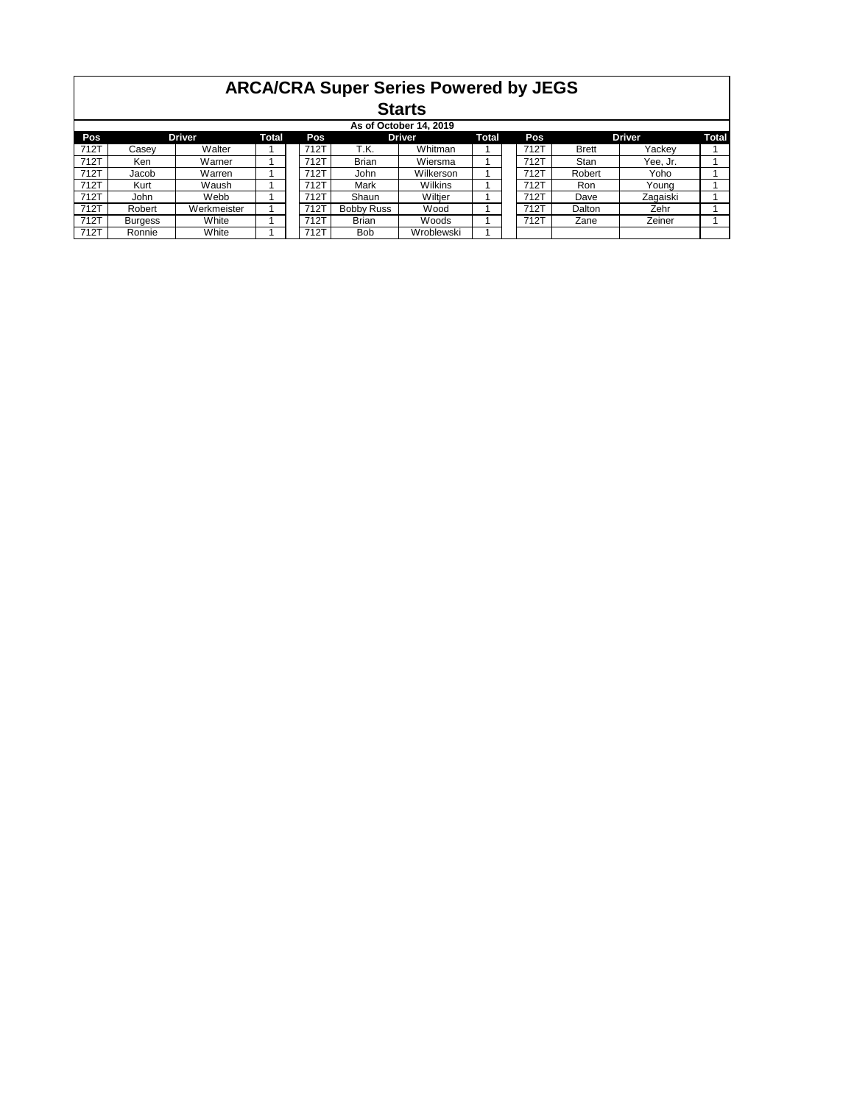|      | <b>ARCA/CRA Super Series Powered by JEGS</b><br><b>Starts</b>                                   |             |  |  |      |              |            |  |  |      |              |          |  |  |  |
|------|-------------------------------------------------------------------------------------------------|-------------|--|--|------|--------------|------------|--|--|------|--------------|----------|--|--|--|
|      | As of October 14, 2019                                                                          |             |  |  |      |              |            |  |  |      |              |          |  |  |  |
| Pos  | <b>Driver</b><br><b>Driver</b><br><b>Driver</b><br><b>Total</b><br>Total<br>Pos<br>Total<br>Pos |             |  |  |      |              |            |  |  |      |              |          |  |  |  |
| 712T | Casev                                                                                           | Walter      |  |  | 712T | T.K.         | Whitman    |  |  | 712T | <b>Brett</b> | Yackey   |  |  |  |
| 712T | Ken                                                                                             | Warner      |  |  | 712T | <b>Brian</b> | Wiersma    |  |  | 712T | Stan         | Yee. Jr. |  |  |  |
| 712T | Jacob                                                                                           | Warren      |  |  | 712T | John         | Wilkerson  |  |  | 712T | Robert       | Yoho     |  |  |  |
| 712T | Kurt                                                                                            | Waush       |  |  | 712T | Mark         | Wilkins    |  |  | 712T | Ron          | Youna    |  |  |  |
| 712T | John                                                                                            | Webb        |  |  | 712T | Shaun        | Wiltjer    |  |  | 712T | Dave         | Zagaiski |  |  |  |
| 712T | Robert                                                                                          | Werkmeister |  |  | 712T | Bobby Russ   | Wood       |  |  | 712T | Dalton       | Zehr     |  |  |  |
| 712T | Burgess                                                                                         | White       |  |  | 712T | <b>Brian</b> | Woods      |  |  | 712T | Zane         | Zeiner   |  |  |  |
| 712T | Ronnie                                                                                          | White       |  |  | 712T | <b>Bob</b>   | Wroblewski |  |  |      |              |          |  |  |  |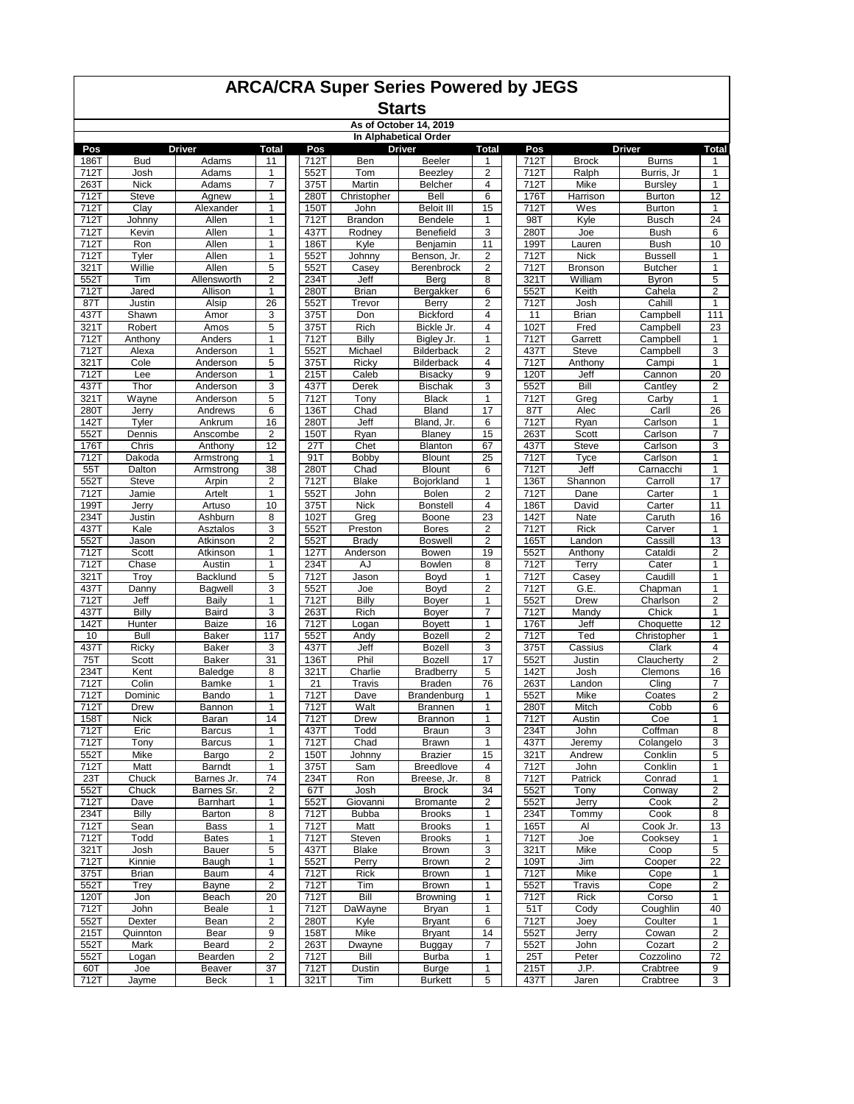#### **Starts**

#### **As of October 14, 2019**

| In Alphabetical Order<br><b>Driver</b><br>Driver<br><b>Driver</b><br>Pos<br>Total<br>Pos<br>Total<br>Pos |                             |                       |                         |              |                        |                                |                         |                          |                  |                                 |                         |
|----------------------------------------------------------------------------------------------------------|-----------------------------|-----------------------|-------------------------|--------------|------------------------|--------------------------------|-------------------------|--------------------------|------------------|---------------------------------|-------------------------|
|                                                                                                          |                             |                       |                         |              |                        |                                |                         |                          |                  |                                 | Total                   |
| 186T                                                                                                     | <b>Bud</b>                  | Adams                 | 11                      | 712T         | Ben                    | Beeler                         | 1                       | 712T                     | <b>Brock</b>     | <b>Burns</b>                    | 1                       |
| 712T                                                                                                     | Josh                        | Adams                 | 1                       | 552T         | Tom                    | Beezlev                        | $\overline{2}$          | 712T                     | Ralph            | Burris, Jr                      | $\mathbf{1}$            |
| 263T<br>712T                                                                                             | <b>Nick</b><br><b>Steve</b> | Adams<br>Agnew        | 7<br>1                  | 375T<br>280T | Martin<br>Christopher  | <b>Belcher</b><br>Bell         | 4<br>6                  | 712T<br>176T             | Mike<br>Harrison | <b>Bursley</b><br><b>Burton</b> | 1<br>12                 |
| 712T                                                                                                     | Clay                        | Alexander             | 1                       | 150T         | John                   | <b>Beloit III</b>              | 15                      | 712T                     | Wes              | <b>Burton</b>                   | 1                       |
| 712T                                                                                                     | Johnny                      | Allen                 | 1                       | 712T         | Brandon                | Bendele                        | 1                       | 98T                      | Kyle             | <b>Busch</b>                    | 24                      |
| 712T                                                                                                     | Kevin                       | Allen                 | 1                       | 437T         | Rodney                 | <b>Benefield</b>               | 3                       | 280T                     | Joe              | <b>Bush</b>                     | 6                       |
| 712T                                                                                                     | Ron                         | Allen                 | $\mathbf{1}$            | 186T         | Kyle                   | Benjamin                       | 11                      | 199T                     | Lauren           | <b>Bush</b>                     | 10                      |
| 712T                                                                                                     | Tyler                       | Allen                 | 1                       | 552T         | Johnny                 | Benson, Jr.                    | 2                       | 712T                     | <b>Nick</b>      | <b>Bussell</b>                  | $\mathbf{1}$            |
| 321T                                                                                                     | Willie                      | Allen                 | 5                       | 552T         | Casey                  | Berenbrock                     | 2                       | 712T                     | <b>Bronson</b>   | <b>Butcher</b>                  | 1                       |
| 552T                                                                                                     | Tim                         | Allensworth           | 2                       | 234T         | Jeff                   | Berg                           | 8                       | 321T                     | William          | <b>Byron</b>                    | 5                       |
| 712T                                                                                                     | Jared                       | Allison               | 1                       | 280T         | <b>Brian</b>           | Bergakker                      | 6                       | 552T                     | Keith            | Cahela                          | 2                       |
| 87T                                                                                                      | Justin                      | Alsip                 | $\overline{26}$         | 552T         | Trevor                 | Berry                          | 2                       | 712T                     | Josh             | Cahill                          | $\mathbf{1}$            |
| 437T                                                                                                     | Shawn                       | Amor                  | 3                       | 375T         | Don                    | <b>Bickford</b>                | 4                       | 11                       | Brian            | Campbell                        | 111                     |
| 321T                                                                                                     | Robert                      | Amos                  | 5                       | 375T         | Rich                   | Bickle Jr.                     | 4                       | 102T                     | Fred             | Campbell                        | 23                      |
| 712T                                                                                                     | Anthony                     | Anders                | 1                       | 712T         | Billy                  | Bigley Jr.                     | 1                       | 712T                     | Garrett          | Campbell                        | 1                       |
| 712T                                                                                                     | Alexa                       | Anderson              | 1                       | 552T         | Michael                | Bilderback                     | 2                       | 437T                     | Steve            | Campbell                        | 3                       |
| 321T                                                                                                     | Cole                        | Anderson              | 5                       | 375T         | Ricky                  | <b>Bilderback</b>              | 4                       | 712T                     | Anthony          | Campi                           | $\mathbf{1}$            |
| 712T                                                                                                     | Lee                         | Anderson              | 1                       | 215T         | Caleb                  | <b>Bisacky</b>                 | 9                       | 120T                     | Jeff             | Cannon                          | $\overline{20}$         |
| 437T                                                                                                     | Thor                        | Anderson              | 3                       | 437T         | Derek                  | <b>Bischak</b>                 | 3                       | 552T                     | Bill             | Cantley                         | $\overline{\mathbf{c}}$ |
| 321T                                                                                                     | Wayne                       | Anderson              | 5                       | 712T         | Tony                   | <b>Black</b>                   | 1                       | 712T                     | Greg             | Carby                           | $\mathbf{1}$            |
| 280T<br>142T                                                                                             | Jerry                       | Andrews               | 6<br>16                 | 136T<br>280T | Chad<br>Jeff           | <b>Bland</b><br>Bland, Jr.     | 17<br>6                 | 87T<br>$712\overline{T}$ | Alec             | Carll                           | 26                      |
| 552T                                                                                                     | Tyler<br>Dennis             | Ankrum<br>Anscombe    | 2                       | 150T         | Ryan                   | Blaney                         | 15                      | 263T                     | Ryan<br>Scott    | Carlson<br>Carlson              | 1<br>7                  |
| 176T                                                                                                     | Chris                       | Anthony               | 12                      | 27T          | Chet                   | Blanton                        | 67                      | 437T                     | <b>Steve</b>     | Carlson                         | 3                       |
| 712T                                                                                                     | Dakoda                      | Armstrong             | 1                       | 91T          | Bobby                  | <b>Blount</b>                  | 25                      | 712T                     | Tyce             | Carlson                         | $\mathbf{1}$            |
| 55T                                                                                                      | Dalton                      | Armstrong             | 38                      | 280T         | Chad                   | Blount                         | 6                       | 712T                     | Jeff             | Carnacchi                       | $\mathbf{1}$            |
| 552T                                                                                                     | <b>Steve</b>                | Arpin                 | 2                       | 712T         | <b>Blake</b>           | Bojorkland                     | 1                       | 136T                     | Shannon          | Carroll                         | 17                      |
| 7127                                                                                                     | Jamie                       | Artelt                | 1                       | 552T         | John                   | <b>Bolen</b>                   | 2                       | 712T                     | Dane             | Carter                          | 1                       |
| 199T                                                                                                     | Jerry                       | Artuso                | 10                      | 375T         | <b>Nick</b>            | <b>Bonstell</b>                | 4                       | 186T                     | David            | Carter                          | 11                      |
| 234T                                                                                                     | Justin                      | Ashburn               | 8                       | 102T         | Greg                   | Boone                          | 23                      | 142T                     | Nate             | Caruth                          | 16                      |
| 437T                                                                                                     | Kale                        | Asztalos              | 3                       | 552T         | Preston                | <b>Bores</b>                   | $\overline{\mathbf{c}}$ | 712T                     | <b>Rick</b>      | Carver                          | $\mathbf{1}$            |
| 552T                                                                                                     | Jason                       | Atkinson              | $\overline{\mathbf{c}}$ | 552T         | Brady                  | <b>Boswell</b>                 | 2                       | 165T                     | Landon           | Cassill                         | 13                      |
| 712T                                                                                                     | Scott                       | Atkinson              | 1                       | 127T         | Anderson               | Bowen                          | 19                      | 552T                     | Anthony          | Cataldi                         | $\overline{\mathbf{c}}$ |
| 712T                                                                                                     | Chase                       | Austin                | 1                       | 234T         | AJ                     | Bowlen                         | 8                       | 712T                     | Terry            | Cater                           | $\mathbf{1}$            |
| 321T                                                                                                     | Troy                        | Backlund              | 5                       | 712T         | Jason                  | Boyd                           | 1                       | 712T                     | Casey            | Caudill                         | 1                       |
| 437T                                                                                                     | Danny                       | Bagwell               | 3                       | 552T         | Joe                    | Boyd                           | 2                       | 712T                     | G.E.             | Chapman                         | 1                       |
| 712T                                                                                                     | Jeff                        | Baily                 | 1                       | 712T         | Billy                  | Boyer                          | 1                       | 552T                     | Drew             | Charlson                        | $\overline{\mathbf{c}}$ |
| 437T                                                                                                     | Billy                       | Baird                 | 3                       | 263T         | Rich                   | Boyer                          | 7                       | 712T                     | Mandy            | Chick                           | $\mathbf{1}$            |
| 142T<br>10                                                                                               | Hunter<br>Bull              | <b>Baize</b><br>Baker | 16<br>117               | 712T<br>552T | Logan<br>Andy          | <b>Boyett</b><br><b>Bozell</b> | $\mathbf{1}$<br>2       | 176T<br>712T             | Jeff<br>Ted      | Choquette<br>Christopher        | 12<br>1                 |
| 437T                                                                                                     | Ricky                       | Baker                 | 3                       | 437T         | Jeff                   | Bozell                         | 3                       | 375T                     | Cassius          | Clark                           | $\overline{4}$          |
| 75T                                                                                                      | Scott                       | Baker                 | 31                      | 136T         | Phil                   | Bozell                         | 17                      | 552T                     | Justin           | Claucherty                      | $\overline{2}$          |
| 234T                                                                                                     | Kent                        | Baledge               | 8                       | 321T         | Charlie                | <b>Bradberry</b>               | 5                       | 142T                     | Josh             | Clemons                         | 16                      |
| 712T                                                                                                     | Colin                       | Bamke                 | 1                       | 21           | Travis                 | <b>Braden</b>                  | 76                      | 263T                     | Landon           | Cling                           | $\overline{7}$          |
| 712T                                                                                                     | Dominic                     | Bando                 | 1                       | 712T         | Dave                   | Brandenburg                    | 1                       | 552T                     | Mike             | Coates                          | $\mathbf 2$             |
| 712T                                                                                                     | Drew                        | Bannon                | 1                       | 712T         | Walt                   | <b>Brannen</b>                 | 1                       | 280T                     | Mitch            | Cobb                            | 6                       |
| 158T                                                                                                     | <b>Nick</b>                 | Baran                 | 14                      | 712T         | Drew                   | Brannon                        | 1                       | 712T                     | Austin           | Coe                             | 1                       |
| 712T                                                                                                     | Eric                        | <b>Barcus</b>         | 1                       | 437T         | Todd                   | <b>Braun</b>                   | 3                       | 234T                     | John             | Coffman                         | 8                       |
| 712T                                                                                                     | Tony                        | <b>Barcus</b>         | 1                       | 712T         | Chad                   | Brawn                          | 1                       | 437T                     | Jeremy           | Colangelo                       | 3                       |
| 552T                                                                                                     | Mike                        | Bargo                 | $\overline{2}$          | 150T         | Johnny                 | <b>Brazier</b>                 | 15                      | 321T                     | Andrew           | Conklin                         | 5                       |
| 712T                                                                                                     | Matt                        | Barndt                | $\mathbf{1}$            | 375T         | Sam                    | <b>Breedlove</b>               | 4                       | 712T                     | John             | Conklin                         | 1                       |
| 23T                                                                                                      | Chuck                       | Barnes Jr.            | $\overline{74}$         | 234T         | Ron                    | Breese, Jr.                    | 8                       | 712T                     | Patrick          | Conrad                          | 1                       |
| 552T                                                                                                     | Chuck                       | Barnes Sr.            | $\overline{\mathbf{c}}$ | 67T          | Josh                   | <b>Brock</b>                   | 34                      | 552T                     | Tony             | Conway                          | $\boldsymbol{2}$        |
| 712T                                                                                                     | Dave                        | Barnhart              | 1                       | 552T         | Giovanni               | <b>Bromante</b>                | 2                       | 552T                     | Jerry            | Cook                            | 2                       |
| 234T                                                                                                     | Billy                       | Barton                | 8                       | 712T         | <b>Bubba</b>           | Brooks                         | 1                       | 234T                     | Tommy            | Cook                            | 8                       |
| 712T                                                                                                     | Sean                        | Bass                  | 1                       | 712T         | Matt                   | <b>Brooks</b>                  | 1                       | 165T                     | Al               | Cook Jr.                        | 13                      |
| 712T<br>321T                                                                                             | Todd<br>Josh                | <b>Bates</b><br>Bauer | 1<br>5                  | 712T<br>437T | Steven<br><b>Blake</b> | <b>Brooks</b><br>Brown         | 1<br>3                  | 712T<br>321T             | Joe<br>Mike      | Cooksey<br>Coop                 | $\mathbf{1}$<br>5       |
| 712T                                                                                                     | Kinnie                      | Baugh                 | 1                       | 552T         | Perry                  | Brown                          | 2                       | 109T                     | Jim              | Cooper                          | 22                      |
| 375T                                                                                                     | <b>Brian</b>                | Baum                  | $\overline{4}$          | 712T         | Rick                   | <b>Brown</b>                   | 1                       | 712T                     | Mike             | Cope                            | $\mathbf{1}$            |
| 552T                                                                                                     | Trey                        | Bayne                 | $\overline{\mathbf{c}}$ | 712T         | Tim                    | Brown                          | 1                       | 552T                     | Travis           | Cope                            | 2                       |
| 120T                                                                                                     | Jon                         | Beach                 | 20                      | 712T         | Bill                   | <b>Browning</b>                | 1                       | 712T                     | Rick             | Corso                           | $\mathbf{1}$            |
| 712T                                                                                                     | John                        | Beale                 | 1                       | 712T         | <b>DaWayne</b>         | Bryan                          | 1                       | 51T                      | Cody             | Coughlin                        | 40                      |
| 552T                                                                                                     | Dexter                      | Bean                  | $\overline{\mathbf{c}}$ | 280T         | Kyle                   | <b>Bryant</b>                  | 6                       | 712T                     | Joey             | Coulter                         | 1                       |
| 215T                                                                                                     | Quinnton                    | Bear                  | 9                       | 158T         | Mike                   | <b>Bryant</b>                  | 14                      | 552T                     | Jerry            | Cowan                           | $\boldsymbol{2}$        |
| 552T                                                                                                     | Mark                        | Beard                 | $\overline{\mathbf{c}}$ | 263T         | Dwayne                 | Buggay                         | 7                       | 552T                     | John             | Cozart                          | 2                       |
| 552T                                                                                                     | Logan                       | Bearden               | $\overline{\mathbf{c}}$ | 712T         | Bill                   | Burba                          | 1                       | 25T                      | Peter            | Cozzolino                       | 72                      |
| 60T                                                                                                      | Joe                         | Beaver                | 37                      | 712T         | Dustin                 | Burge                          | 1                       | 215T                     | J.P.             | Crabtree                        | 9                       |
| 712T                                                                                                     | Jayme                       | Beck                  | $\mathbf{1}$            | 321T         | Tim                    | <b>Burkett</b>                 | 5                       | 437T                     | Jaren            | Crabtree                        | 3                       |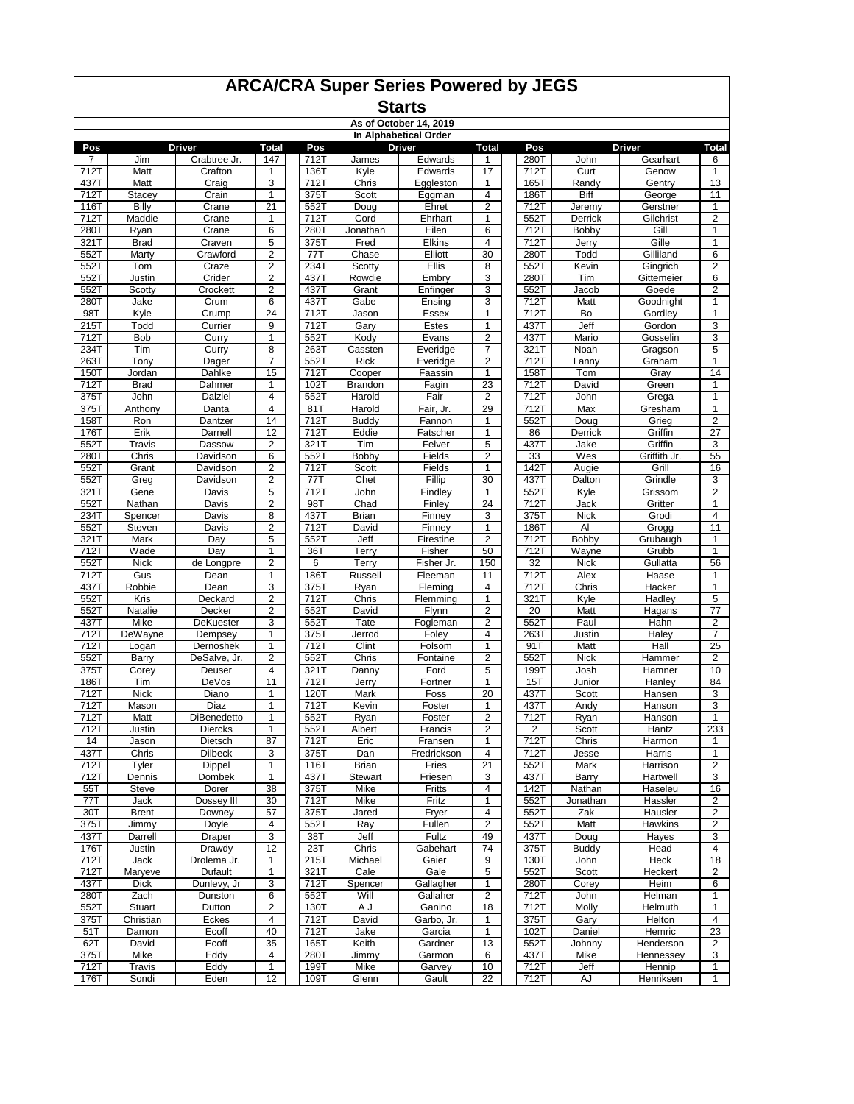|              | As of October 14, 2019<br>In Alphabetical Order |                        |                         |              |                       |                     |                              |              |                |                   |                              |
|--------------|-------------------------------------------------|------------------------|-------------------------|--------------|-----------------------|---------------------|------------------------------|--------------|----------------|-------------------|------------------------------|
|              |                                                 |                        |                         |              |                       |                     |                              |              |                |                   |                              |
| Pos          |                                                 | <b>Driver</b>          | <b>Total</b>            | Pos          |                       | <b>Driver</b>       | <b>Total</b>                 | Pos          |                | <b>Driver</b>     | <b>Total</b>                 |
| 7            | Jim                                             | Crabtree Jr.           | 147                     | 712T         | James                 | Edwards             | 1<br>17                      | 280T         | John           | Gearhart<br>Genow | 6                            |
| 712T         | Matt<br>Matt                                    | Crafton                | 1<br>3                  | 136T<br>712T | Kyle<br>Chris         | Edwards             | $\mathbf{1}$                 | 712T<br>165T | Curt           |                   | $\mathbf{1}$<br>13           |
| 437T<br>712T | Stacey                                          | Craig<br>Crain         | 1                       | 375T         | Scott                 | Eggleston<br>Eggman | 4                            | 186T         | Randy<br>Biff  | Gentry<br>George  | 11                           |
| 116T         | Billy                                           | Crane                  | 21                      | 552T         | Doug                  | Ehret               | $\overline{\mathbf{c}}$      | 712T         | Jeremy         | Gerstner          | 1                            |
| 712T         | Maddie                                          | Crane                  | 1                       | 712T         | Cord                  | Ehrhart             | $\mathbf{1}$                 | 552T         | Derrick        | Gilchrist         | $\overline{\mathbf{c}}$      |
| 280T         | Ryan                                            | Crane                  | 6                       | 280T         | Jonathan              | Eilen               | 6                            | 712T         | Bobby          | Gill              | $\mathbf{1}$                 |
| 321T         | <b>Brad</b>                                     | Craven                 | 5                       | 375T         | Fred                  | Elkins              | $\overline{4}$               | 712T         | Jerry          | Gille             | $\mathbf{1}$                 |
| 552T         | Marty                                           | Crawford               | $\overline{\mathbf{c}}$ | 77T          | Chase                 | Elliott             | 30                           | 280T         | Todd           | Gilliland         | 6                            |
| 552T         | Tom                                             | Craze                  | $\overline{2}$          | 234T         | Scotty                | <b>Ellis</b>        | 8                            | 552T         | Kevin          | Gingrich          | $\overline{\mathbf{c}}$      |
| 552T         | Justin                                          | Crider                 | $\overline{\mathbf{c}}$ | 437T         | Rowdie                | Embry               | 3                            | 280T         | Tim            | Gittemeier        | 6                            |
| 552T         | Scotty                                          | Crockett               | 2                       | 437T         | Grant                 | Enfinger            | 3                            | 552T         | Jacob          | Goede             | $\overline{\mathbf{c}}$      |
| 280T         | Jake                                            | Crum                   | 6                       | 437T         | Gabe                  | Ensing              | 3                            | 712T         | Matt           | Goodnight         | $\mathbf{1}$                 |
| 98T          | Kyle                                            | Crump                  | 24                      | 712T         | Jason                 | Essex               | $\mathbf{1}$                 | 712T         | Bo             | Gordley           | $\mathbf{1}$                 |
| 215T         | Todd                                            | Currier                | 9                       | 712T         | Gary                  | Estes               | 1                            | 437T         | Jeff           | Gordon            | 3                            |
| 712T         | <b>Bob</b>                                      | Curry                  | 1                       | 552T         | Kody                  | Evans               | 2                            | 437T         | Mario          | Gosselin          | 3                            |
| 234T         | Tim                                             | Curry                  | 8<br>$\overline{7}$     | 263T         | Cassten               | Everidge            | 7<br>$\overline{2}$          | 321T         | Noah           | Gragson           | 5                            |
| 263T<br>150T | Tony<br>Jordan                                  | Dager<br>Dahlke        | 15                      | 552T<br>712T | <b>Rick</b><br>Cooper | Everidge<br>Faassin | $\mathbf{1}$                 | 712T<br>158T | Lanny<br>Tom   | Graham<br>Gray    | $\mathbf{1}$<br>14           |
| 712T         | <b>Brad</b>                                     | Dahmer                 | $\mathbf{1}$            | 102T         | <b>Brandon</b>        | Fagin               | 23                           | 712T         | David          | Green             | $\mathbf{1}$                 |
| 375T         | John                                            | Dalziel                | 4                       | 552T         | Harold                | Fair                | $\overline{\mathbf{c}}$      | 712T         | John           | Grega             | $\mathbf{1}$                 |
| 375T         | Anthony                                         | Danta                  | $\overline{4}$          | 81T          | Harold                | Fair, Jr.           | 29                           | 712T         | Max            | Gresham           | $\mathbf{1}$                 |
| 158T         | Ron                                             | Dantzer                | 14                      | 712T         | <b>Buddy</b>          | Fannon              | 1                            | 552T         | Doug           | Grieg             | $\mathbf 2$                  |
| 176T         | Erik                                            | Darnell                | 12                      | 712T         | Eddie                 | Fatscher            | 1                            | 86           | Derrick        | Griffin           | $\overline{27}$              |
| 552T         | Travis                                          | Dassow                 | $\overline{\mathbf{c}}$ | 321T         | Tim                   | Felver              | 5                            | 437T         | Jake           | Griffin           | 3                            |
| 280T         | Chris                                           | Davidson               | 6                       | 552T         | <b>Bobby</b>          | Fields              | $\overline{2}$               | 33           | Wes            | Griffith Jr.      | 55                           |
| 552T         | Grant                                           | Davidson               | $\overline{c}$          | 712T         | Scott                 | Fields              | $\mathbf{1}$                 | 142T         | Augie          | Grill             | 16                           |
| 552T         | Greg                                            | Davidson               | $\boldsymbol{2}$        | 77T          | Chet                  | Fillip              | 30                           | 437T         | Dalton         | Grindle           | 3                            |
| 321T         | Gene                                            | Davis                  | 5                       | 712T         | John                  | Findley             | 1                            | 552T         | Kyle           | Grissom           | $\overline{2}$               |
| 552T         | Nathan                                          | Davis                  | 2                       | 98T          | Chad                  | Finley              | $\overline{24}$              | 712T         | Jack           | Gritter           | 1                            |
| 234T         | Spencer                                         | Davis                  | 8                       | 437T         | Brian                 | Finney              | 3                            | 375T         | <b>Nick</b>    | Grodi             | 4                            |
| 552T         | Steven                                          | Davis                  | $\overline{\mathbf{c}}$ | 712T         | David                 | Finney              | $\mathbf{1}$                 | 186T         | Al             | Grogg             | 11                           |
| 321T<br>712T | Mark<br>Wade                                    | Day<br>Day             | 5<br>1                  | 552T<br>36T  | Jeff<br>Terry         | Firestine<br>Fisher | $\overline{2}$<br>50         | 712T<br>712T | Bobby<br>Wayne | Grubaugh<br>Grubb | $\mathbf{1}$<br>$\mathbf{1}$ |
| 552T         | Nick                                            | de Longpre             | $\overline{2}$          | 6            | Terry                 | Fisher Jr.          | 150                          | 32           | <b>Nick</b>    | Gullatta          | 56                           |
| 712T         | Gus                                             | Dean                   | 1                       | 186T         | Russell               | Fleeman             | 11                           | 712T         | Alex           | Haase             | $\mathbf{1}$                 |
| 437T         | Robbie                                          | Dean                   | 3                       | 375T         | Ryan                  | Fleming             | 4                            | 712T         | Chris          | Hacker            | 1                            |
| 552T         | Kris                                            | Deckard                | $\overline{c}$          | 712T         | Chris                 | Flemming            | $\mathbf{1}$                 | 321T         | Kyle           | Hadley            | 5                            |
| 552T         | Natalie                                         | Decker                 | $\overline{\mathbf{c}}$ | 552T         | David                 | Flynn               | $\overline{2}$               | 20           | Matt           | Hagans            | 77                           |
| 437T         | Mike                                            | DeKuester              | 3                       | 552T         | Tate                  | Fogleman            | $\overline{2}$               | 552T         | Paul           | Hahn              | $\overline{\mathbf{c}}$      |
| 712T         | DeWayne                                         | Dempsey                | $\mathbf{1}$            | 375T         | Jerrod                | Foley               | $\overline{4}$               | 263T         | Justin         | Haley             | $\overline{7}$               |
| 712T         | Logan                                           | Dernoshek              | 1                       | 712T         | Clint                 | Folsom              | 1                            | 91T          | Matt           | Hall              | $\overline{25}$              |
| 552T         | Barry                                           | DeSalve, Jr.           | $\overline{c}$          | 552T         | Chris                 | Fontaine            | $\overline{2}$               | 552T         | <b>Nick</b>    | Hammer            | 2                            |
| 375T         | Corey                                           | Deuser                 | 4                       | 321T         | Danny                 | Ford                | 5                            | 199T         | Josh           | Hamner            | 10                           |
| 186T         | Tim                                             | DeVos                  | 11                      | 712T         | Jerry                 | Fortner             | $\mathbf{1}$<br>20           | 15T          | Junior         | Hanley            | 84<br>3                      |
| 712T         | <b>Nick</b>                                     | Diano                  | 1<br>1                  | 120T         | Mark                  | Foss                |                              | 437T<br>437T | Scott          | Hansen            | 3                            |
| 712T<br>712T | Mason<br>Matt                                   | Diaz<br>DiBenedetto    | $\mathbf{1}$            | 712T<br>552T | Kevin<br>Ryan         | Foster<br>Foster    | 1<br>$\overline{\mathbf{c}}$ | 712T         | Andy<br>Ryan   | Hanson<br>Hanson  | $\mathbf{1}$                 |
| 712T         | Justin                                          | Diercks                | 1                       | 552T         | Albert                | Francis             | 2                            | 2            | Scott          | Hantz             | 233                          |
| 14           | Jason                                           | Dietsch                | 87                      | 712T         | Eric                  | Fransen             |                              | 712T         | Chris          | Harmon            |                              |
| 437T         | Chris                                           | <b>Dilbeck</b>         | 3                       | 375T         | Dan                   | Fredrickson         | 4                            | 712T         | Jesse          | Harris            | $\mathbf{1}$                 |
| 712T         | Tyler                                           | Dippel                 | 1                       | 116T         | <b>Brian</b>          | Fries               | 21                           | 552T         | Mark           | Harrison          | $\overline{\mathbf{c}}$      |
| 712T         | Dennis                                          | Dombek                 | 1                       | 437T         | Stewart               | Friesen             | 3                            | 437T         | Barry          | Hartwell          | 3                            |
| 55T          | Steve                                           | Dorer                  | 38                      | 375T         | Mike                  | Fritts              | 4                            | 142T         | Nathan         | Haseleu           | 16                           |
| 77T          | Jack                                            | Dossey III             | 30                      | 712T         | Mike                  | Fritz               | $\mathbf{1}$                 | 552T         | Jonathan       | Hassler           | 2                            |
| 30T          | <b>Brent</b>                                    | Downey                 | 57                      | 375T         | Jared                 | Fryer               | 4                            | 552T         | Zak            | Hausler           | 2                            |
| 375T         | Jimmy                                           | Doyle                  | 4                       | 552T         | Ray                   | Fullen              | 2                            | 552T         | Matt           | Hawkins           | 2                            |
| 437T         | Darrell                                         | Draper                 | 3                       | 38T          | Jeff                  | Fultz               | 49                           | 437T         | Doug           | Hayes             | 3                            |
| 176T         | Justin                                          | Drawdy                 | 12                      | 23T          | Chris                 | Gabehart            | 74                           | 375T         | <b>Buddy</b>   | Head              | 4                            |
| 712T<br>712T | Jack                                            | Drolema Jr.<br>Dufault | 1<br>1                  | 215T<br>321T | Michael<br>Cale       | Gaier<br>Gale       | 9                            | 130T<br>552T | John           | Heck              | 18                           |
| 437T         | Maryeve<br><b>Dick</b>                          | Dunlevy, Jr            | 3                       | 712T         | Spencer               | Gallagher           | 5<br>1                       | 280T         | Scott<br>Corey | Heckert<br>Heim   | 2<br>6                       |
| 280T         | Zach                                            | Dunston                | 6                       | 552T         | Will                  | Gallaher            | 2                            | 712T         | John           | Helman            | 1                            |
| 552T         | Stuart                                          | Dutton                 | $\overline{\mathbf{c}}$ | 130T         | A J                   | Ganino              | 18                           | 712T         | Molly          | Helmuth           | $\mathbf{1}$                 |
| 375T         | Christian                                       | Eckes                  | 4                       | 712T         | David                 | Garbo, Jr.          | 1                            | 375T         | Gary           | Helton            | 4                            |
| 51T          | Damon                                           | Ecoff                  | 40                      | 712T         | Jake                  | Garcia              | 1                            | 102T         | Daniel         | Hemric            | 23                           |
| 62T          | David                                           | Ecoff                  | 35                      | 165T         | Keith                 | Gardner             | 13                           | 552T         | Johnny         | Henderson         | 2                            |
| 375T         | Mike                                            | Eddy                   | 4                       | 280T         | Jimmy                 | Garmon              | 6                            | 437T         | Mike           | Hennessey         | 3                            |
| 712T         | Travis                                          | Eddy                   | $\mathbf{1}$            | 199T         | Mike                  | Garvey              | 10                           | 712T         | Jeff           | Hennip            | $\mathbf{1}$                 |
| 176T         | Sondi                                           | Eden                   | 12                      | 109T         | Glenn                 | Gault               | 22                           | 712T         | AJ             | Henriksen         | 1                            |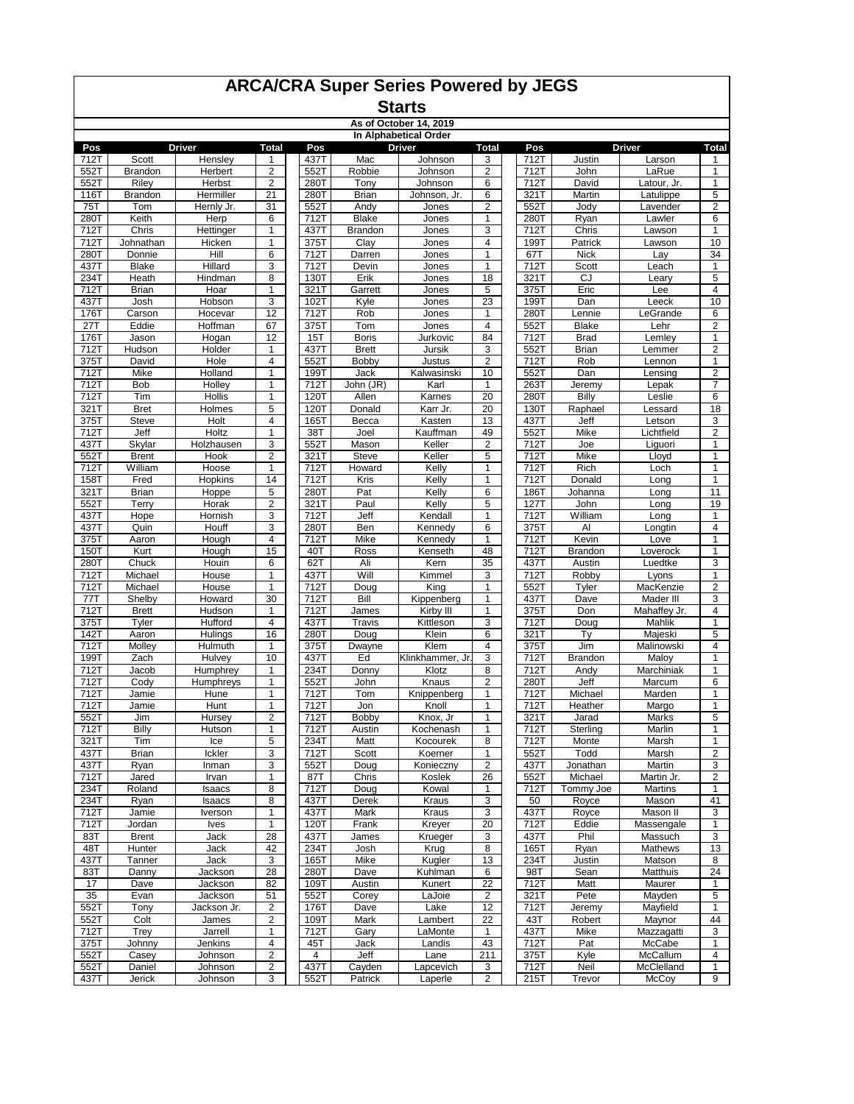|              | As of October 14, 2019<br>In Alphabetical Order |                    |                         |              |                              |                    |                              |              |                      |                   |                         |
|--------------|-------------------------------------------------|--------------------|-------------------------|--------------|------------------------------|--------------------|------------------------------|--------------|----------------------|-------------------|-------------------------|
|              |                                                 |                    |                         |              |                              |                    |                              |              |                      |                   |                         |
| Pos          |                                                 | <b>Driver</b>      | <b>Total</b>            | Pos          |                              | Driver             | <b>Total</b>                 | Pos          |                      | <b>Driver</b>     | <b>Total</b>            |
| 712T<br>552T | Scott<br><b>Brandon</b>                         | Hensley<br>Herbert | 1<br>$\overline{2}$     | 437T<br>552T | Mac<br>Robbie                | Johnson<br>Johnson | 3<br>$\overline{\mathbf{c}}$ | 712T<br>712T | Justin<br>John       | Larson<br>LaRue   | 1<br>$\mathbf{1}$       |
| 552T         | Riley                                           | Herbst             | $\overline{2}$          | 280T         | Tony                         | Johnson            | 6                            | 712T         | David                | Latour, Jr.       | 1                       |
| 116T         | Brandon                                         | Hermiller          | 21                      | 280T         | <b>Brian</b>                 | Johnson, Jr.       | 6                            | 321T         | Martin               | Latulippe         | 5                       |
| 75T          | Tom                                             | Hernly Jr.         | 31                      | 552T         | Andy                         | Jones              | 2                            | 552T         | Jody                 | Lavender          | $\overline{\mathbf{c}}$ |
| 280T         | Keith                                           | Herp               | 6                       | 712T         | <b>Blake</b>                 | Jones              | $\mathbf{1}$                 | 280T         | Ryan                 | Lawler            | 6                       |
| 712T         | Chris                                           | Hettinger          | 1                       | 437T         | Brandon                      | Jones              | 3                            | 712T         | Chris                | Lawson            | $\mathbf{1}$            |
| 712T         | Johnathan                                       | Hicken             | 1                       | 375T         | Clay                         | Jones              | 4                            | 199T         | Patrick              | Lawson            | 10                      |
| 280T         | Donnie                                          | Hill               | 6                       | 712T         | Darren                       | Jones              | 1                            | 67T          | <b>Nick</b>          | Lay               | 34                      |
| 437T         | <b>Blake</b>                                    | Hillard            | 3                       | 712T         | Devin                        | Jones              | 1                            | 712T         | Scott                | Leach             | $\mathbf{1}$            |
| 234T         | Heath                                           | Hindman            | 8                       | 130T         | Erik                         | Jones              | 18                           | 321T         | CJ                   | Leary             | 5                       |
| 712T         | <b>Brian</b>                                    | Hoar               | 1                       | 321T         | Garrett                      | Jones              | 5                            | 375T         | Eric                 | Lee               | 4                       |
| 437T         | Josh                                            | Hobson             | 3                       | 102T         | Kyle                         | Jones              | 23                           | 199T         | Dan                  | Leeck             | 10                      |
| 176T         | Carson                                          | Hocevar            | 12                      | 712T         | Rob                          | Jones              | 1<br>$\overline{4}$          | 280T         | Lennie               | LeGrande          | 6                       |
| 27T<br>176T  | Eddie                                           | Hoffman            | 67<br>12                | 375T<br>15T  | Tom                          | <b>Jones</b>       | 84                           | 552T<br>712T | <b>Blake</b>         | Lehr              | $\overline{2}$          |
| 712T         | Jason<br>Hudson                                 | Hogan<br>Holder    | 1                       | 437T         | <b>Boris</b><br><b>Brett</b> | Jurkovic<br>Jursik | 3                            | 552T         | <b>Brad</b><br>Brian | Lemley<br>Lemmer  | 1<br>$\overline{2}$     |
| 375T         | David                                           | Hole               | 4                       | 552T         | Bobby                        | Justus             | $\overline{\mathbf{c}}$      | 712T         | Rob                  | Lennon            | $\mathbf{1}$            |
| 712T         | Mike                                            | Holland            | $\mathbf{1}$            | 199T         | Jack                         | Kalwasinski        | 10                           | 552T         | Dan                  | Lensing           | $\overline{\mathbf{c}}$ |
| 712T         | Bob                                             | Holley             | 1                       | 712T         | John (JR)                    | Karl               | 1                            | 263T         | Jeremy               | Lepak             | $\overline{7}$          |
| 712T         | Tim                                             | Hollis             | 1                       | 120T         | Allen                        | Karnes             | 20                           | 280T         | Billy                | Leslie            | 6                       |
| 321T         | <b>Bret</b>                                     | Holmes             | 5                       | 120T         | Donald                       | Karr Jr.           | 20                           | 130T         | Raphael              | Lessard           | 18                      |
| 375T         | Steve                                           | Holt               | 4                       | 165T         | Becca                        | Kasten             | 13                           | 437T         | Jeff                 | Letson            | 3                       |
| 712T         | Jeff                                            | Holtz              | 1                       | 38T          | Joel                         | Kauffman           | 49                           | 552T         | Mike                 | Lichtfield        | $\overline{\mathbf{c}}$ |
| 437T         | Skylar                                          | Holzhausen         | 3                       | 552T         | Mason                        | Keller             | $\overline{2}$               | 712T         | Joe                  | Liguori           | $\mathbf{1}$            |
| 552T         | <b>Brent</b>                                    | Hook               | $\overline{2}$          | 321T         | Steve                        | Keller             | 5                            | 712T         | Mike                 | Lloyd             | $\mathbf{1}$            |
| 712T         | William                                         | Hoose              | 1                       | 712T         | Howard                       | Kelly              | 1                            | 712T         | Rich                 | Loch              | $\mathbf{1}$            |
| 158T         | Fred                                            | Hopkins            | 14                      | 712T         | Kris                         | Kelly              | 1                            | 712T         | Donald               | Long              | 1                       |
| 321T         | <b>Brian</b>                                    | Hoppe              | 5                       | 280T         | Pat                          | Kelly              | 6                            | 186T         | Johanna              | Long              | 11                      |
| 552T         | Terry                                           | Horak              | $\overline{\mathbf{c}}$ | 321T<br>712T | Paul                         | Kelly              | 5<br>$\mathbf{1}$            | 127T         | John                 | Long              | 19                      |
| 437T<br>437T | Hope<br>Quin                                    | Hornish<br>Houff   | 3<br>3                  | 280T         | Jeff<br>Ben                  | Kendall<br>Kennedy | 6                            | 712T<br>375T | William<br>Al        | Long<br>Longtin   | 1<br>$\overline{4}$     |
| 375T         | Aaron                                           | Hough              | 4                       | 712T         | Mike                         | Kennedy            | 1                            | 712T         | Kevin                | Love              | $\mathbf{1}$            |
| 150T         | Kurt                                            | Hough              | 15                      | 40T          | Ross                         | Kenseth            | 48                           | 712T         | Brandon              | Loverock          | 1                       |
| 280T         | Chuck                                           | Houin              | 6                       | 62T          | Ali                          | Kern               | 35                           | 437T         | Austin               | Luedtke           | 3                       |
| 712T         | Michael                                         | House              | 1                       | 437T         | Will                         | Kimmel             | 3                            | 712T         | Robby                | Lyons             | $\mathbf{1}$            |
| 712T         | Michael                                         | House              | 1                       | 712T         | Doug                         | King               | $\mathbf{1}$                 | 552T         | Tyler                | MacKenzie         | $\overline{2}$          |
| 77T          | Shelby                                          | Howard             | 30                      | 712T         | Bill                         | Kippenberg         | $\mathbf{1}$                 | 437T         | Dave                 | Mader III         | 3                       |
| 712T         | <b>Brett</b>                                    | Hudson             | 1                       | 712T         | James                        | Kirby III          | 1                            | 375T         | Don                  | Mahaffey Jr.      | $\overline{4}$          |
| 375T         | Tyler                                           | Hufford            | $\overline{4}$          | 437T         | Travis                       | Kittleson          | 3                            | 712T         | Doug                 | Mahlik            | $\mathbf{1}$            |
| 142T         | Aaron                                           | Hulings            | 16                      | 280T         | Doug                         | Klein              | 6                            | 321T         | Tγ                   | Majeski           | 5                       |
| 712T         | Molley                                          | Hulmuth            | 1                       | 375T         | Dwayne                       | Klem               | 4                            | 375T         | Jim                  | Malinowski        | 4                       |
| 199T         | Zach                                            | Hulvey             | 10                      | 437T         | Ed                           | Klinkhammer, Jr.   | 3                            | 712T         | Brandon              | Maloy             | 1                       |
| 712T         | Jacob                                           | Humphrey           | 1                       | 234T         | Donny                        | Klotz<br>Knaus     | 8<br>2                       | 712T         | Andy                 | Marchiniak        | $\mathbf{1}$            |
| 712T<br>712T | Cody<br>Jamie                                   | Humphreys<br>Hune  | 1<br>1                  | 552T<br>712T | John<br>Tom                  | Knippenberg        | 1                            | 280T<br>712T | Jeff<br>Michael      | Marcum<br>Marden  | 6<br>$\mathbf{1}$       |
| 712T         | Jamie                                           | Hunt               | 1                       | 712T         | Jon                          | Knoll              | 1                            | 712T         | Heather              | Margo             | 1                       |
| 552T         | Jim                                             | Hursey             | 2                       | 712T         | Bobby                        | Knox, Jr           | 1                            | 321T         | Jarad                | Marks             | 5                       |
| 712T         | Billy                                           | Hutson             | 1                       | 712T         | Austin                       | Kochenash          | 1                            | 712T         | Sterling             | Marlin            | 1                       |
| 321T         | Tim                                             | Ice                | 5                       | 234T         | Matt                         | Kocourek           | 8                            | 712T         | Monte                | Marsh             | 1                       |
| 437T         | Brian                                           | Ickler             | 3                       | 712T         | Scott                        | Koerner            | 1                            | 552T         | Todd                 | Marsh             | $\overline{\mathbf{c}}$ |
| 437T         | Ryan                                            | Inman              | 3                       | 552T         | Doug                         | Konieczny          | $\overline{\mathbf{c}}$      | 437T         | Jonathan             | Martin            | 3                       |
| 712T         | Jared                                           | Irvan              | 1                       | 87T          | Chris                        | Koslek             | 26                           | 552T         | Michael              | Martin Jr.        | $\boldsymbol{2}$        |
| 234T         | Roland                                          | Isaacs             | 8                       | 712T         | Doug                         | Kowal              | 1                            | 712T         | Tommy Joe            | Martins           | $\mathbf{1}$            |
| 234T         | Ryan                                            | Isaacs             | 8                       | 437T         | Derek                        | Kraus              | 3                            | 50           | Royce                | Mason             | 41                      |
| 712T         | Jamie                                           | Iverson            | 1                       | 437T         | Mark                         | Kraus              | 3                            | 437T         | Royce                | Mason II          | 3                       |
| 712T         | Jordan                                          | <b>lves</b>        | $\mathbf{1}$            | 120T         | Frank                        | Kreyer             | $\overline{20}$              | 712T         | Eddie                | Massengale        | $\mathbf{1}$            |
| 83T          | <b>Brent</b>                                    | Jack               | 28                      | 437T         | James                        | Krueger            | 3                            | 437T         | Phil                 | Massuch           | 3                       |
| 48T          | Hunter                                          | Jack               | 42                      | 234T         | Josh                         | Krug<br>Kugler     | 8                            | 165T         | Ryan                 | Mathews<br>Matson | 13                      |
| 437T<br>83T  | Tanner<br>Danny                                 | Jack               | 3<br>28                 | 165T<br>280T | Mike                         | Kuhlman            | 13<br>6                      | 234T<br>98T  | Justin<br>Sean       | Matthuis          | 8<br>24                 |
| 17           | Dave                                            | Jackson<br>Jackson | 82                      | 109T         | Dave<br>Austin               | Kunert             | $\overline{22}$              | 712T         | Matt                 | Maurer            | 1                       |
| 35           | Evan                                            | Jackson            | 51                      | 552T         | Corey                        | LaJoie             | 2                            | 321T         | Pete                 | Mayden            | $\overline{5}$          |
| 552T         | Tony                                            | Jackson Jr.        | 2                       | 176T         | Dave                         | Lake               | 12                           | 712T         | Jeremy               | Mayfield          | 1                       |
| 552T         | Colt                                            | James              | $\boldsymbol{2}$        | 109T         | Mark                         | Lambert            | 22                           | 43T          | Robert               | Maynor            | 44                      |
| 712T         | Trey                                            | Jarrell            | 1                       | 712T         | Gary                         | LaMonte            | 1                            | 437T         | Mike                 | Mazzagatti        | 3                       |
| 375T         | Johnny                                          | Jenkins            | 4                       | 45T          | Jack                         | Landis             | 43                           | 712T         | Pat                  | McCabe            | $\mathbf{1}$            |
| 552T         | Casey                                           | Johnson            | $\overline{\mathbf{c}}$ | 4            | Jeff                         | Lane               | 211                          | 375T         | Kyle                 | McCallum          | 4                       |
| 552T         | Daniel                                          | Johnson            | $\overline{\mathbf{c}}$ | 437T         | Cayden                       | Lapcevich          | 3                            | 712T         | Neil                 | McClelland        | $\mathbf{1}$            |
| 437T         | Jerick                                          | Johnson            | 3                       | 552T         | Patrick                      | Laperle            | $\overline{2}$               | 215T         | Trevor               | McCoy             | 9                       |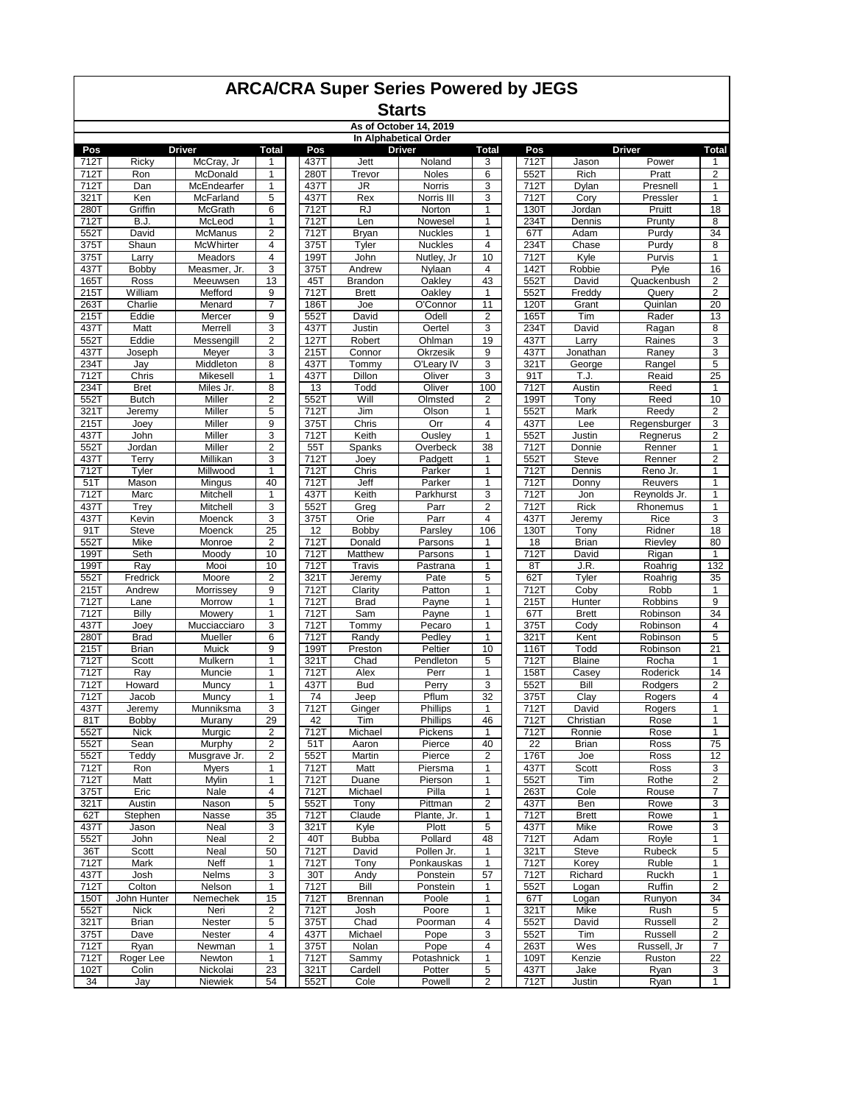#### **Starts As of October 14, 2019**

|      |              |                     |                  |      |                | AS OF OCTODER 14, 2019<br>In Alphabetical Order |                         |      |               |               |                         |
|------|--------------|---------------------|------------------|------|----------------|-------------------------------------------------|-------------------------|------|---------------|---------------|-------------------------|
| Pos  |              | <b>Driver</b>       | <b>Total</b>     | Pos  |                | <b>Driver</b>                                   | <b>Total</b>            | Pos  |               | <b>Driver</b> | <b>Total</b>            |
| 712T | Ricky        | McCray, Jr          | 1                | 437T | Jett           | Noland                                          | 3                       | 712T | Jason         | Power         | 1                       |
| 712T | Ron          | McDonald            | $\mathbf{1}$     | 280T | Trevor         | Noles                                           | 6                       | 552T | Rich          | Pratt         | $\overline{2}$          |
| 712T | Dan          | McEndearfer         | 1                | 437T | JR             | Norris                                          | 3                       | 712T | Dylan         | Presnell      | $\mathbf{1}$            |
| 321T | Ken          | McFarland           | 5                | 437T | Rex            | Norris III                                      | 3                       | 712T | Cory          | Pressler      | $\mathbf{1}$            |
| 280T | Griffin      | McGrath             | 6                | 712T | <b>RJ</b>      | Norton                                          | 1                       | 130T | Jordan        | Pruitt        | 18                      |
| 712T | <b>B.J.</b>  | McLeod              | $\mathbf{1}$     | 712T | Len            | Nowesel                                         | $\mathbf{1}$            | 234T | Dennis        | Prunty        | 8                       |
| 552T | David        | McManus             | $\overline{2}$   | 712T | Bryan          | <b>Nuckles</b>                                  | $\mathbf{1}$            | 67T  | Adam          | Purdy         | 34                      |
| 375T | Shaun        | McWhirter           | $\overline{4}$   | 375T | Tyler          | Nuckles                                         | $\pmb{4}$               | 234T | Chase         | Purdy         | 8                       |
| 375T | Larry        | Meadors             | $\overline{4}$   | 199T | John           | Nutley, Jr                                      | 10                      | 712T | Kyle          | Purvis        | 1                       |
| 437T | Bobby        | Measmer, Jr.        | 3                | 375T | Andrew         | Nylaan                                          | 4                       | 142T | Robbie        | Pyle          | 16                      |
| 165T | Ross         | Meeuwsen            | 13               | 45T  | <b>Brandon</b> | Oakley                                          | 43                      | 552T | David         | Quackenbush   | $\boldsymbol{2}$        |
| 215T | William      | Mefford             | 9                | 712T | <b>Brett</b>   | Oakley                                          | $\mathbf{1}$            | 552T | Freddy        | Query         | $\boldsymbol{2}$        |
| 263T | Charlie      | Menard              | 7                | 186T | Joe            | O'Connor                                        | 11                      | 120T | Grant         | Quinlan       | 20                      |
| 215T | Eddie        | Mercer              | 9                | 552T | David          | Odell                                           | $\overline{\mathbf{c}}$ | 165T | Tim           | Rader         | 13                      |
| 437T | Matt         | Merrell             | 3                | 437T | Justin         | Oertel                                          | 3                       | 234T | David         | Ragan         | 8                       |
| 552T | Eddie        | Messengill          | $\overline{2}$   | 127T | Robert         | Ohlman                                          | 19                      | 437T | Larry         | Raines        | 3                       |
| 437T | Joseph       | Meyer               | 3                | 215T | Connor         | Okrzesik                                        | 9                       | 437T | Jonathan      | Raney         | 3                       |
| 234T | Jay          | Middleton           | 8                | 437T | Tommy          | O'Leary IV                                      | 3                       | 321T | George        | Rangel        | 5                       |
| 712T | Chris        | Mikesell            | $\mathbf{1}$     | 437T | Dillon         | Oliver                                          | 3                       | 91T  | T.J.          | Reaid         | $\overline{25}$         |
| 234T | <b>Bret</b>  | Miles Jr.           | 8                | 13   | Todd           | Oliver                                          | 100                     | 712T | Austin        | Reed          | $\mathbf{1}$            |
| 552T | Butch        | Miller              | $\overline{2}$   | 552T | Will           | Olmsted                                         | 2                       | 199T | Tony          | Reed          | 10                      |
| 321T | Jeremy       | Miller              | 5                | 712T | Jim            | Olson                                           | $\mathbf{1}$            | 552T | Mark          | Reedy         | $\overline{c}$          |
| 215T | Joey         | Miller              | 9                | 375T | Chris          | Orr                                             | $\overline{4}$          | 437T | Lee           | Regensburger  | 3                       |
| 437T | John         | Miller              | 3                | 712T | Keith          | Ousley                                          | $\mathbf{1}$            | 552T | Justin        | Regnerus      | $\overline{2}$          |
| 552T | Jordan       | Miller              | $\boldsymbol{2}$ | 55T  | Spanks         | Overbeck                                        | $\overline{38}$         | 712T | Donnie        | Renner        | $\mathbf{1}$            |
| 437T | Terry        | Millikan            | 3                | 712T | Joey           | Padgett                                         | 1                       | 552T | Steve         | Renner        | $\overline{2}$          |
| 712T | Tyler        | Millwood            | $\mathbf{1}$     | 712T | Chris          | Parker                                          | $\mathbf{1}$            | 712T | Dennis        | Reno Jr.      | $\mathbf{1}$            |
| 51T  | Mason        | Mingus              | 40               | 712T | Jeff           | Parker                                          | $\mathbf{1}$            | 712T | Donny         | Reuvers       | $\mathbf{1}$            |
| 712T | Marc         | Mitchell            | 1                | 437T | Keith          | Parkhurst                                       | 3                       | 712T | Jon           | Reynolds Jr.  | 1                       |
| 437T | Trey         | Mitchell            | 3                | 552T | Greg           | Parr                                            | $\overline{\mathbf{c}}$ | 712T | <b>Rick</b>   | Rhonemus      | 1                       |
| 437T | Kevin        | Moenck              | 3                | 375T | Orie           | Parr                                            | $\overline{4}$          | 437T | Jeremy        | Rice          | 3                       |
| 91T  | Steve        | Moenck              | 25               | 12   | <b>Bobby</b>   | Parsley                                         | 106                     | 130T | Tony          | Ridner        | 18                      |
| 552T | Mike         | Monroe              | $\overline{2}$   | 712T | Donald         | Parsons                                         | 1                       | 18   | <b>Brian</b>  | Rievley       | 80                      |
| 199T | Seth         | Moody               | 10               | 712T | Matthew        | Parsons                                         | 1                       | 712T | David         | Rigan         | $\mathbf{1}$            |
| 199T | Ray          | Mooi                | 10               | 712T | Travis         | Pastrana                                        | $\mathbf{1}$            | 8T   | J.R.          | Roahrig       | 132                     |
| 552T | Fredrick     | Moore               | $\boldsymbol{2}$ | 321T | Jeremy         | Pate                                            | 5                       | 62T  | Tyler         | Roahrig       | 35                      |
| 215T | Andrew       | Morrissey           | 9                | 712T | Clarity        | Patton                                          | $\mathbf{1}$            | 712T | Coby          | Robb          | $\mathbf{1}$            |
| 712T | Lane         | Morrow              | $\mathbf{1}$     | 712T | <b>Brad</b>    | Payne                                           | $\mathbf{1}$            | 215T | Hunter        | Robbins       | 9                       |
| 712T | Billy        | Mowery              | $\mathbf{1}$     | 712T | Sam            | Payne                                           | $\mathbf{1}$            | 67T  | <b>Brett</b>  | Robinson      | 34                      |
| 437T | Joey         | Mucciacciaro        | 3                | 712T | Tommy          | Pecaro                                          | $\mathbf{1}$            | 375T | Cody          | Robinson      | $\overline{4}$          |
| 280T | <b>Brad</b>  | Mueller             | 6                | 712T | Randy          | Pedley                                          | $\mathbf{1}$            | 321T | Kent          | Robinson      | 5                       |
| 215T | <b>Brian</b> | Muick               | 9                | 199T | Preston        | Peltier                                         | 10                      | 116T | Todd          | Robinson      | 21                      |
| 712T | Scott        | Mulkern             | $\mathbf{1}$     | 321T | Chad           | Pendleton                                       | 5                       | 712T | <b>Blaine</b> | Rocha         | $\mathbf{1}$            |
| 712T | Ray          | Muncie              | $\mathbf{1}$     | 712T | Alex           | Perr                                            | $\mathbf{1}$            | 158T | Casey         | Roderick      | 14                      |
| 712T | Howard       | Muncy               | $\mathbf{1}$     | 437T | <b>Bud</b>     | Perry                                           | 3                       | 552T | Bill          | Rodgers       | $\overline{2}$          |
| 712T | Jacob        | Muncy               | 1                | 74   | Jeep           | Pflum                                           | 32                      | 375T | Clay          | Rogers        | 4                       |
| 437T | Jeremy       | Munniksma           | 3                | 712T | Ginger         | Phillips                                        | $\mathbf{1}$            | 712T | David         | Rogers        | 1                       |
| 81T  | Bobby        | Murany              | 29               | 42   | Tim            | Phillips                                        | 46                      | 712T | Christian     | Rose          | 1                       |
| 552T | <b>Nick</b>  | Murgic              | $\overline{c}$   | 712T | Michael        | Pickens                                         | $\mathbf{1}$            | 712T | Ronnie        | Rose          | $\mathbf{1}$            |
| 552T | Sean         | Murphy              | $\overline{2}$   | 51T  | Aaron          | Pierce                                          | 40                      | 22   | Brian         | Ross          | 75                      |
| 552T | Teddy        | Musgrave Jr.        | 2                | 552T | Martin         | Pierce                                          | 2                       | 176T | Joe           | Ross          | 12                      |
| 712T | Ron          | <b>Myers</b>        | $\mathbf{1}$     | 712T | Matt           | Piersma                                         | $\mathbf{1}$            | 437T | Scott         | Ross          | 3                       |
| 712T | Matt         | Mylin               | 1                | 712T | Duane          | Pierson                                         | 1                       | 552T | Tim           | Rothe         | $\overline{\mathbf{c}}$ |
| 375T | Eric         | Nale                | $\overline{4}$   | 712T | Michael        | Pilla                                           | $\mathbf{1}$            | 263T | Cole          | Rouse         | $\overline{7}$          |
| 321T | Austin       | Nason               | 5                | 552T | Tony           | Pittman                                         | $\overline{\mathbf{c}}$ | 437T | Ben           | Rowe          | 3                       |
| 62T  | Stephen      | Nasse               | 35               | 712T | Claude         | Plante, Jr.                                     | $\mathbf{1}$            | 712T | <b>Brett</b>  | Rowe          | $\mathbf{1}$            |
| 437T | Jason        | Neal                | 3                | 321T | Kyle           | Plott                                           | 5                       | 437T | Mike          | Rowe          | 3                       |
| 552T | John         | Neal                | $\overline{2}$   | 40T  | <b>Bubba</b>   | Pollard                                         | 48                      | 712T | Adam          | Royle         | $\mathbf{1}$            |
| 36T  | Scott        | Neal                | 50               | 712T | David          | Pollen Jr.                                      | 1                       | 321T | Steve         | Rubeck        | 5                       |
| 712T | Mark         | Neff                | 1                | 712T | Tony           | Ponkauskas                                      | 1                       | 712T | Korey         | Ruble         | $\mathbf{1}$            |
| 437T | Josh         | Nelms               | 3                | 30T  | Andy           | Ponstein                                        | 57                      | 712T | Richard       | Ruckh         | 1                       |
| 712T | Colton       | Nelson              | $\mathbf{1}$     | 712T | Bill           | Ponstein                                        | $\mathbf{1}$            | 552T | Logan         | Ruffin        | $\overline{2}$          |
| 150T | John Hunter  | Nemechek            | 15               | 712T | Brennan        | Poole                                           | $\mathbf{1}$            | 67T  | Logan         | Runyon        | 34                      |
| 552T | <b>Nick</b>  | Neri                | $\overline{2}$   | 712T | Josh           | Poore                                           | $\mathbf{1}$            | 321T | Mike          | Rush          | 5                       |
| 321T | <b>Brian</b> | Nester              | 5                | 375T | Chad           | Poorman                                         | $\overline{4}$          | 552T | David         | Russell       | $\overline{\mathbf{c}}$ |
| 375T | Dave         | Nester              | 4                | 437T | Michael        | Pope                                            | 3                       | 552T | Tim           | Russell       | $\overline{c}$          |
| 712T | Ryan         | Newman              | 1                | 375T | Nolan          | Pope                                            | $\overline{4}$          | 263T | Wes           | Russell, Jr   | $\overline{7}$          |
| 712T | Roger Lee    | Newton              | $\mathbf{1}$     | 712T | Sammy          | Potashnick                                      | $\mathbf{1}$            | 109T | Kenzie        | Ruston        | $\overline{22}$         |
| 102T | Colin        | Nickolai<br>Niewiek | 23               | 321T | Cardell        | Potter                                          | 5                       | 437T | Jake          | Ryan          | 3                       |
| 34   | Jay          |                     | 54               | 552T | Cole           | Powell                                          | $\overline{2}$          | 712T | Justin        | Ryan          | $\mathbf{1}$            |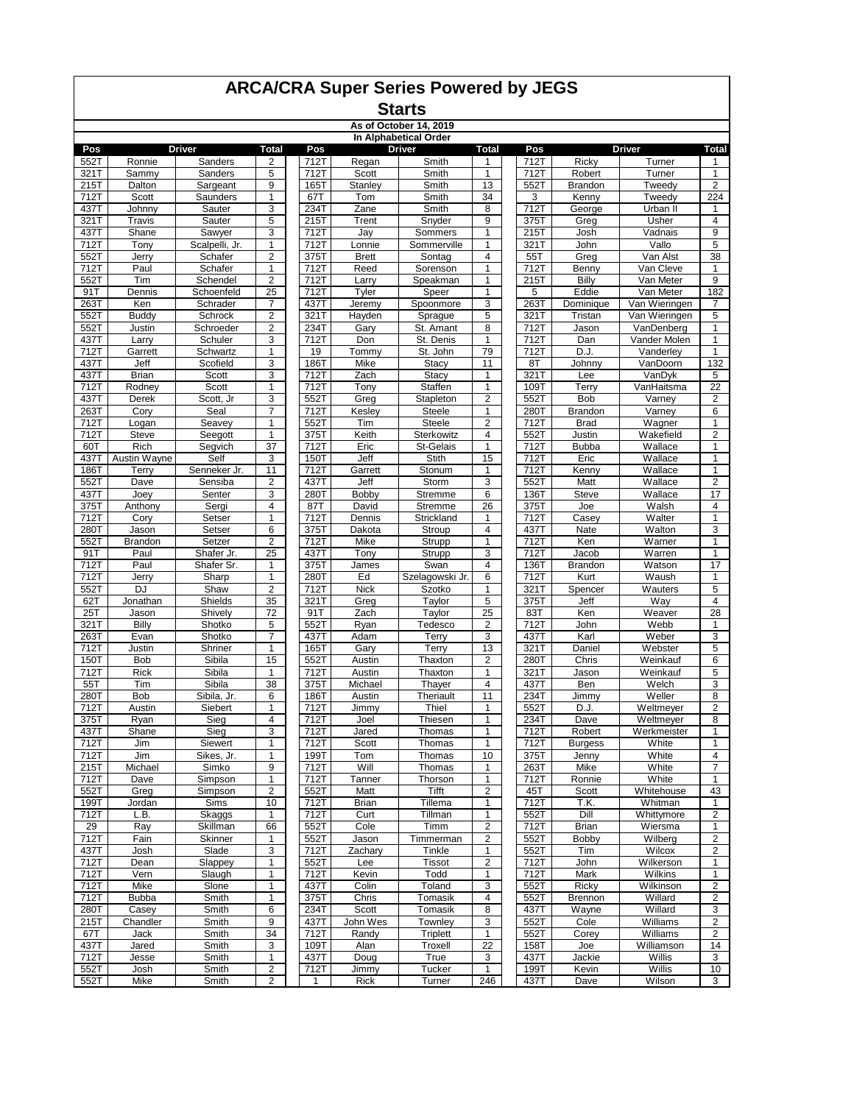#### **Starts As of October 14, 2019**

| In Alphabetical Order |                        |                      |                                  |              |                     |                           |                              |              |                   |                               |                                |
|-----------------------|------------------------|----------------------|----------------------------------|--------------|---------------------|---------------------------|------------------------------|--------------|-------------------|-------------------------------|--------------------------------|
| Pos                   |                        | <b>Driver</b>        | <b>Total</b>                     | Pos          |                     | Driver                    | <b>Total</b>                 | Pos          |                   | <b>Driver</b>                 | <b>Total</b>                   |
| 552T                  | Ronnie                 | Sanders              | $\overline{2}$                   | 712T         | Regan               | Smith                     | 1                            | 712T         | Ricky             | Turner                        | $\mathbf{1}$                   |
| 321T<br>215T          | Sammy<br>Dalton        | Sanders              | 5<br>9                           | 712T<br>165T | Scott               | Smith<br>Smith            | 1<br>13                      | 712T<br>552T | Robert<br>Brandon | Turner<br>Tweedy              | $\mathbf{1}$<br>$\overline{2}$ |
| 712T                  | Scott                  | Sargeant<br>Saunders | 1                                | 67T          | Stanley<br>Tom      | Smith                     | 34                           | 3            | Kenny             | Tweedy                        | 224                            |
| 437T                  | Johnny                 | Sauter               | 3                                | 234T         | Zane                | Smith                     | 8                            | 712T         | George            | Urban II                      | 1                              |
| 321T                  | Travis                 | Sauter               | 5                                | 215T         | Trent               | Snyder                    | 9                            | 375T         | Greg              | Usher                         | $\overline{4}$                 |
| 437T                  | Shane                  | Sawyer               | 3                                | 712T         | Jay                 | Sommers                   | 1                            | 215T         | Josh              | Vadnais                       | 9                              |
| 712T                  | Tony                   | Scalpelli, Jr.       | $\mathbf{1}$                     | 712T         | Lonnie              | Sommerville               | 1                            | 321T         | John              | Vallo                         | 5                              |
| 552T                  | Jerry                  | Schafer              | 2                                | 375T         | <b>Brett</b>        | Sontag                    | 4                            | 55T          | Greg              | Van Alst                      | 38                             |
| 712T                  | Paul                   | Schafer              | $\mathbf{1}$                     | 712T         | Reed                | Sorenson                  | 1                            | 712T         | Benny             | Van Cleve                     | 1                              |
| 552T                  | Tim                    | Schendel             | $\overline{2}$                   | 712T         | Larry               | Speakman                  | 1                            | 215T         | Billy             | Van Meter                     | 9                              |
| 91T                   | Dennis                 | Schoenfeld           | 25                               | 712T         | Tyler               | Speer                     | 1                            | 5            | Eddie             | Van Meter                     | 182                            |
| 263T                  | Ken                    | Schrader             | 7                                | 437T         | Jeremy              | Spoonmore                 | 3                            | 263T         | Dominique         | Van Wieringen                 | 7                              |
| 552T<br>552T          | <b>Buddy</b><br>Justin | Schrock<br>Schroeder | $\overline{2}$<br>$\overline{2}$ | 321T<br>234T | Hayden<br>Gary      | Sprague<br>St. Amant      | 5<br>8                       | 321T<br>712T | Tristan<br>Jason  | Van Wieringen<br>VanDenberg   | 5<br>1                         |
| 437T                  | Larry                  | Schuler              | 3                                | 712T         | Don                 | St. Denis                 | 1                            | 712T         | Dan               | Vander Molen                  | 1                              |
| 712T                  | Garrett                | Schwartz             | $\mathbf{1}$                     | 19           | Tommy               | St. John                  | 79                           | 712T         | D.J.              | Vanderley                     | $\mathbf{1}$                   |
| 437T                  | Jeff                   | Scofield             | 3                                | 186T         | Mike                | Stacy                     | 11                           | 8T           | Johnny            | VanDoorn                      | 132                            |
| 437T                  | <b>Brian</b>           | Scott                | 3                                | 712T         | Zach                | Stacy                     | 1                            | 321T         | Lee               | VanDyk                        | 5                              |
| 712T                  | Rodney                 | Scott                | 1                                | 712T         | Tony                | Staffen                   | 1                            | 109T         | Terry             | VanHaitsma                    | 22                             |
| 437T                  | Derek                  | Scott, Jr            | 3                                | 552T         | Greg                | Stapleton                 | 2                            | 552T         | Bob               | Varney                        | 2                              |
| 263T                  | Cory                   | Seal                 | $\overline{7}$                   | 712T         | Kesley              | <b>Steele</b>             | 1                            | 280T         | Brandon           | Varney                        | 6                              |
| 712T                  | Logan                  | Seavey               | 1                                | 552T         | Tim                 | <b>Steele</b>             | $\overline{2}$               | 712T         | <b>Brad</b>       | $\overline{\mathsf{W}}$ agner | $\mathbf{1}$                   |
| 712T                  | <b>Steve</b>           | Seegott              | 1                                | 375T         | Keith               | Sterkowitz                | 4                            | 552T         | Justin            | Wakefield                     | $\boldsymbol{2}$               |
| 60T                   | Rich<br>Austin Wayne   | Segvich              | 37                               | 712T<br>150T | Eric                | St-Gelais<br><b>Stith</b> | $\mathbf{1}$                 | 712T         | <b>Bubba</b>      | Wallace                       | $\mathbf{1}$                   |
| 4371<br>186T          | Terry                  | Self<br>Senneker Jr. | 3<br>11                          | 712T         | Jeff<br>Garrett     | Stonum                    | 15<br>1                      | 712T<br>712T | Eric<br>Kenny     | Wallace<br>Wallace            | 1<br>$\mathbf{1}$              |
| 552T                  | Dave                   | Sensiba              | $\overline{2}$                   | 437T         | Jeff                | Storm                     | 3                            | 552T         | Matt              | Wallace                       | $\overline{\mathbf{c}}$        |
| 437T                  | Joey                   | Senter               | 3                                | 280T         | Bobby               | Stremme                   | 6                            | 136T         | <b>Steve</b>      | Wallace                       | 17                             |
| 375T                  | Anthony                | Sergi                | $\overline{4}$                   | 87T          | David               | Stremme                   | 26                           | 375T         | Joe               | Walsh                         | $\overline{4}$                 |
| 712T                  | Cory                   | Setser               | 1                                | 712T         | Dennis              | Strickland                | 1                            | 712T         | Casey             | Walter                        | $\mathbf{1}$                   |
| 280T                  | Jason                  | Setser               | 6                                | 375T         | Dakota              | Stroup                    | 4                            | 437T         | Nate              | Walton                        | 3                              |
| 552T                  | Brandon                | Setzer               | $\overline{2}$                   | 712T         | Mike                | Strupp                    | 1                            | 712T         | Ken               | Warner                        | 1                              |
| 91T                   | Paul                   | Shafer Jr.           | 25                               | 437T         | Tony                | Strupp                    | 3                            | 712T         | Jacob             | Warren                        | $\mathbf{1}$                   |
| 712T                  | Paul                   | Shafer Sr.           | 1                                | 375T         | James               | Swan                      | 4                            | 136T         | <b>Brandon</b>    | Watson                        | 17                             |
| 712T                  | Jerry                  | Sharp                | $\mathbf{1}$                     | 280T         | Ed                  | Szelagowski Jr.           | 6                            | 712T         | Kurt              | Waush                         | $\mathbf{1}$                   |
| 552T<br>62T           | <b>DJ</b><br>Jonathan  | Shaw<br>Shields      | $\overline{2}$<br>35             | 712T<br>321T | <b>Nick</b><br>Greg | Szotko<br>Taylor          | 1<br>5                       | 321T<br>375T | Spencer<br>Jeff   | Wauters<br>Way                | $\overline{5}$<br>4            |
| 25T                   | Jason                  | Shively              | 72                               | 91T          | Zach                | Taylor                    | 25                           | 83T          | Ken               | Weaver                        | 28                             |
| 321T                  | Billy                  | Shotko               | 5                                | 552T         | Ryan                | Tedesco                   | $\overline{\mathbf{c}}$      | 712T         | John              | Webb                          | $\mathbf{1}$                   |
| 263T                  | Evan                   | Shotko               | $\overline{7}$                   | 437T         | Adam                | Terry                     | 3                            | 437T         | Karl              | Weber                         | 3                              |
| 712T                  | Justin                 | Shriner              | 1                                | 165T         | Gary                | Terry                     | 13                           | 321T         | Daniel            | Webster                       | 5                              |
| 150T                  | Bob                    | Sibila               | 15                               | 552T         | Austin              | Thaxton                   | $\overline{\mathbf{c}}$      | 280T         | Chris             | Weinkauf                      | 6                              |
| 712T                  | <b>Rick</b>            | Sibila               | 1                                | 712T         | Austin              | Thaxton                   | 1                            | 321T         | Jason             | Weinkauf                      | 5                              |
| 55T                   | Tim                    | Sibila               | 38                               | 375T         | Michael             | Thayer                    | 4                            | 437T         | Ben               | Welch                         | 3                              |
| 280T                  | Bob                    | Sibila, Jr.          | 6                                | 186T         | Austin              | Theriault                 | 11                           | 234T         | Jimmy             | Weller                        | 8                              |
| 712T                  | Austin                 | Siebert              | 1                                | 712T         | Jimmy               | Thiel                     | 1                            | 552T         | D.J.              | Weltmeyer                     | 2                              |
| $375$ T<br>437T       | Ryan<br>Shane          | Sieg<br>Sieg         | $\overline{4}$<br>3              | 712T<br>712T | Joel<br>Jared       | Thiesen<br>Thomas         | $\mathbf{1}$<br>$\mathbf{1}$ | 234T<br>712T | Dave<br>Robert    | Weltmeyer<br>Werkmeister      | 8<br>$\mathbf{1}$              |
| 712T                  | Jim                    | Siewert              | 1                                | 712T         | Scott               | Thomas                    | 1                            | 712T         | <b>Burgess</b>    | White                         | 1                              |
| 712T                  | Jim                    | Sikes, Jr.           | 1                                | 199T         | Tom                 | Thomas                    | 10                           | 375T         | Jenny             | White                         | 4                              |
| 215T                  | Michael                | Simko                | 9                                | 712T         | Will                | Thomas                    | 1                            | 263T         | Mike              | White                         | 7                              |
| 712T                  | Dave                   | Simpson              | 1                                | 712T         | Tanner              | Thorson                   | 1                            | 712T         | Ronnie            | White                         | 1                              |
| 552T                  | Greg                   | Simpson              | 2                                | 552T         | Matt                | Tifft                     | $\overline{\mathbf{c}}$      | 45T          | Scott             | Whitehouse                    | 43                             |
| 199T                  | Jordan                 | Sims                 | 10                               | 712T         | <b>Brian</b>        | Tillema                   | 1                            | 712T         | T.K.              | Whitman                       | $\mathbf{1}$                   |
| 712T                  | L.B.                   | Skaggs               | 1                                | 712T         | Curt                | Tillman                   | 1                            | 552T         | Dill              | Whittymore                    | $\boldsymbol{2}$               |
| 29                    | Ray                    | Skillman             | 66                               | 552T         | Cole                | Timm                      | $\overline{\mathbf{c}}$      | 712T         | <b>Brian</b>      | Wiersma                       | 1                              |
| 712T                  | Fain                   | Skinner              | 1                                | 552T         | Jason               | Timmerman                 | $\overline{\mathbf{c}}$      | 552T         | <b>Bobby</b>      | Wilberg                       | $\overline{\mathbf{c}}$        |
| 437T<br>712T          | Josh<br>Dean           | Slade<br>Slappey     | 3<br>1                           | 712T<br>552T | Zachary<br>Lee      | Tinkle<br>Tissot          | 1<br>2                       | 552T<br>712T | Tim<br>John       | Wilcox<br>Wilkerson           | $\overline{\mathbf{c}}$<br>1   |
| 712T                  | Vern                   | Slaugh               | 1                                | 712T         | Kevin               | Todd                      | 1                            | 712T         | Mark              | Wilkins                       | $\mathbf{1}$                   |
| 712T                  | Mike                   | Slone                | 1                                | 437T         | Colin               | Toland                    | 3                            | 552T         | Ricky             | Wilkinson                     | $\overline{c}$                 |
| 712T                  | <b>Bubba</b>           | Smith                | 1                                | 375T         | Chris               | Tomasik                   | 4                            | 552T         | Brennon           | Willard                       | $\overline{2}$                 |
| 280T                  | Casey                  | Smith                | 6                                | 234T         | Scott               | Tomasik                   | 8                            | 437T         | Wayne             | Willard                       | 3                              |
| 215T                  | Chandler               | Smith                | 9                                | 437T         | John Wes            | Townley                   | 3                            | 552T         | Cole              | Williams                      | 2                              |
| 67T                   | Jack                   | Smith                | 34                               | 712T         | Randy               | Triplett                  | 1                            | 552T         | Corey             | Williams                      | 2                              |
| 437T                  | Jared                  | Smith                | 3                                | 109T         | Alan                | Troxell                   | 22                           | 158T         | Joe               | Williamson                    | 14                             |
| 712T                  | Jesse                  | Smith                | $\mathbf{1}$                     | 437T         | Doug                | True                      | 3                            | 437T         | Jackie            | Willis                        | 3                              |
| 552T                  | Josh                   | Smith                | 2                                | 712T         | Jimmy               | Tucker                    | 1                            | 199T         | Kevin             | Willis                        | 10                             |
| 552T                  | Mike                   | Smith                | $\overline{2}$                   | 1            | Rick                | Turner                    | 246                          | 437T         | Dave              | Wilson                        | 3                              |